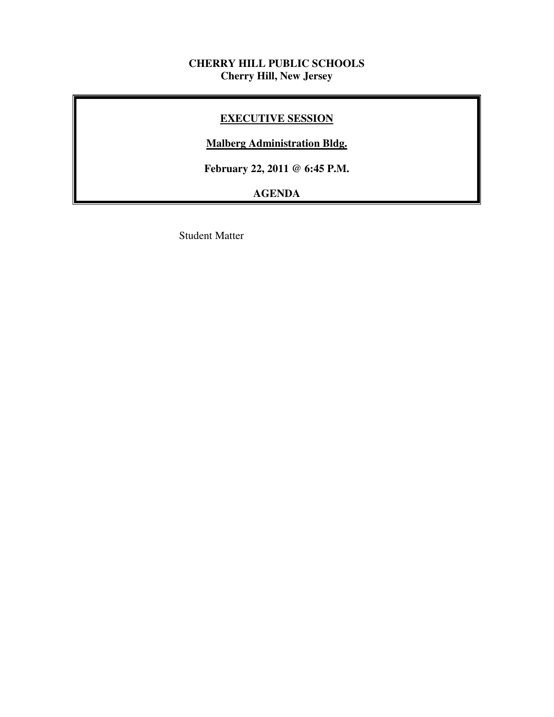## **CHERRY HILL PUBLIC SCHOOLS Cherry Hill, New Jersey**

## **EXECUTIVE SESSION**

## **Malberg Administration Bldg.**

 **February 22, 2011 @ 6:45 P.M.** 

# **AGENDA**

Student Matter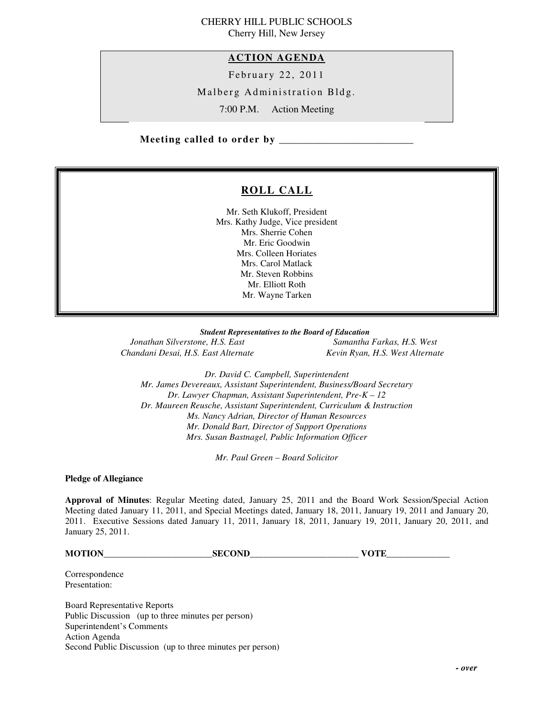#### CHERRY HILL PUBLIC SCHOOLS Cherry Hill, New Jersey

#### **ACTION AGENDA**

February 22, 2011

Malberg Administration Bldg.

7:00 P.M. Action Meeting

 **Meeting called to order by \_\_\_\_\_\_\_\_\_\_\_\_\_\_\_\_\_\_\_\_\_\_\_\_\_\_\_** 

## **ROLL CALL**

 Mr. Seth Klukoff, President Mrs. Kathy Judge, Vice president Mrs. Sherrie Cohen Mr. Eric Goodwin Mrs. Colleen Horiates Mrs. Carol Matlack Mr. Steven Robbins Mr. Elliott Roth Mr. Wayne Tarken

 *Student Representatives to the Board of Education* 

**Jonathan Silverstone, H.S. East** Chandani Desai, H.S. East Alternate **Kevin Ryan, H.S. West Alternate** 

*Samantha Farkas, H.S. West* 

 *Dr. David C. Campbell, Superintendent Mr. James Devereaux, Assistant Superintendent, Business/Board Secretary Dr. Lawyer Chapman, Assistant Superintendent, Pre-K – 12 Dr. Maureen Reusche, Assistant Superintendent, Curriculum & Instruction Ms. Nancy Adrian, Director of Human Resources Mr. Donald Bart, Director of Support Operations Mrs. Susan Bastnagel, Public Information Officer* 

 *Mr. Paul Green – Board Solicitor* 

 **Pledge of Allegiance** 

 **Approval of Minutes**: Regular Meeting dated, January 25, 2011 and the Board Work Session/Special Action Meeting dated January 11, 2011, and Special Meetings dated, January 18, 2011, January 19, 2011 and January 20, 2011. Executive Sessions dated January 11, 2011, January 18, 2011, January 19, 2011, January 20, 2011, and January 25, 2011.

**MOTION\_\_\_\_\_\_\_\_\_\_\_\_\_\_\_\_\_\_\_\_\_\_\_\_SECOND\_\_\_\_\_\_\_\_\_\_\_\_\_\_\_\_\_\_\_\_\_\_\_\_ VOTE\_\_\_\_\_\_\_\_\_\_\_\_\_\_** 

Presentation: Correspondence

Presentation:<br>Board Representative Reports Public Discussion (up to three minutes per person) Superintendent's Comments Action Agenda Second Public Discussion (up to three minutes per person)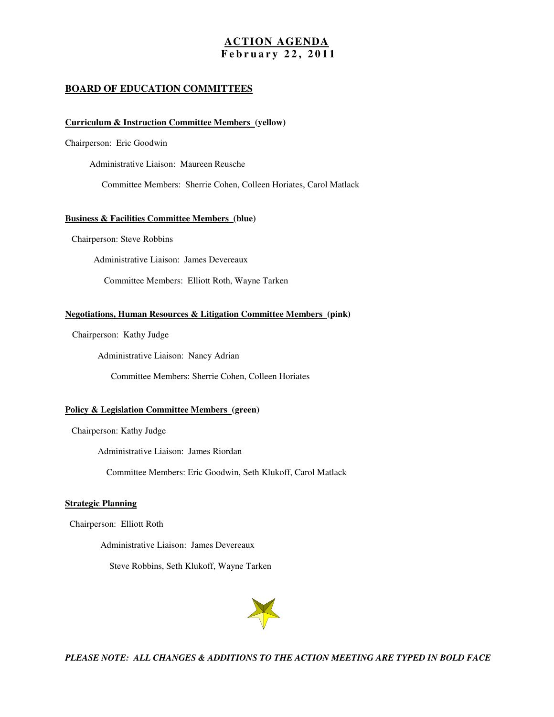#### **ACTION AGENDA F e b r u a r y 2 2 , 2 0 1 1**

#### **BOARD OF EDUCATION COMMITTEES**

#### **Curriculum & Instruction Committee Members (yellow)**

Chairperson: Eric Goodwin

Administrative Liaison: Maureen Reusche

Committee Members: Sherrie Cohen, Colleen Horiates, Carol Matlack

#### **Business & Facilities Committee Members (blue)**

Chairperson: Steve Robbins

Administrative Liaison: James Devereaux

Committee Members: Elliott Roth, Wayne Tarken

#### **Negotiations, Human Resources & Litigation Committee Members (pink)**

Chairperson: Kathy Judge

Administrative Liaison: Nancy Adrian

Committee Members: Sherrie Cohen, Colleen Horiates

#### **Policy & Legislation Committee Members (green)**

Chairperson: Kathy Judge

Administrative Liaison: James Riordan

Committee Members: Eric Goodwin, Seth Klukoff, Carol Matlack

#### **Strategic Planning**

Chairperson: Elliott Roth

Administrative Liaison: James Devereaux

Steve Robbins, Seth Klukoff, Wayne Tarken



 *PLEASE NOTE: ALL CHANGES & ADDITIONS TO THE ACTION MEETING ARE TYPED IN BOLD FACE*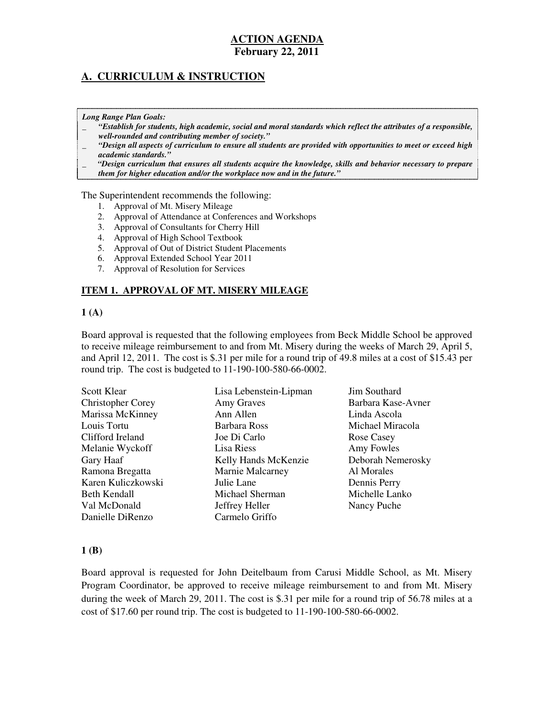## **A. CURRICULUM & INSTRUCTION**

#### *Long Range Plan Goals:*

- \_ *"Establish for students, high academic, social and moral standards which reflect the attributes of a responsible, well-rounded and contributing member of society."*
- \_ *"Design all aspects of curriculum to ensure all students are provided with opportunities to meet or exceed high academic standards."*
- \_ *"Design curriculum that ensures all students acquire the knowledge, skills and behavior necessary to prepare them for higher education and/or the workplace now and in the future."*

The Superintendent recommends the following:

- 1. Approval of Mt. Misery Mileage
- 2. Approval of Attendance at Conferences and Workshops
- 3. Approval of Consultants for Cherry Hill
- 4. Approval of High School Textbook
- 5. Approval of Out of District Student Placements
- 6. Approval Extended School Year 2011
- 7. Approval of Resolution for Services

#### **ITEM 1. APPROVAL OF MT. MISERY MILEAGE**

#### $1(A)$

 Board approval is requested that the following employees from Beck Middle School be approved to receive mileage reimbursement to and from Mt. Misery during the weeks of March 29, April 5, and April 12, 2011. The cost is \$.31 per mile for a round trip of 49.8 miles at a cost of \$15.43 per round trip. The cost is budgeted to  $11-190-100-580-66-0002$ .

| <b>Scott Klear</b>       | Lisa Lebenstein-Lipman | Jim Southard       |
|--------------------------|------------------------|--------------------|
| <b>Christopher Corey</b> | Amy Graves             | Barbara Kase-Avner |
| Marissa McKinney         | Ann Allen              | Linda Ascola       |
| Louis Tortu              | Barbara Ross           | Michael Miracola   |
| Clifford Ireland         | Joe Di Carlo           | Rose Casey         |
| Melanie Wyckoff          | Lisa Riess             | Amy Fowles         |
| Gary Haaf                | Kelly Hands McKenzie   | Deborah Nemerosky  |
| Ramona Bregatta          | Marnie Malcarney       | Al Morales         |
| Karen Kuliczkowski       | Julie Lane             | Dennis Perry       |
| Beth Kendall             | Michael Sherman        | Michelle Lanko     |
| Val McDonald             | Jeffrey Heller         | Nancy Puche        |
| Danielle DiRenzo         | Carmelo Griffo         |                    |

#### **1 (B)**

 Board approval is requested for John Deitelbaum from Carusi Middle School, as Mt. Misery Program Coordinator, be approved to receive mileage reimbursement to and from Mt. Misery during the week of March 29, 2011. The cost is \$.31 per mile for a round trip of 56.78 miles at a cost of \$17.60 per round trip. The cost is budgeted to 11-190-100-580-66-0002.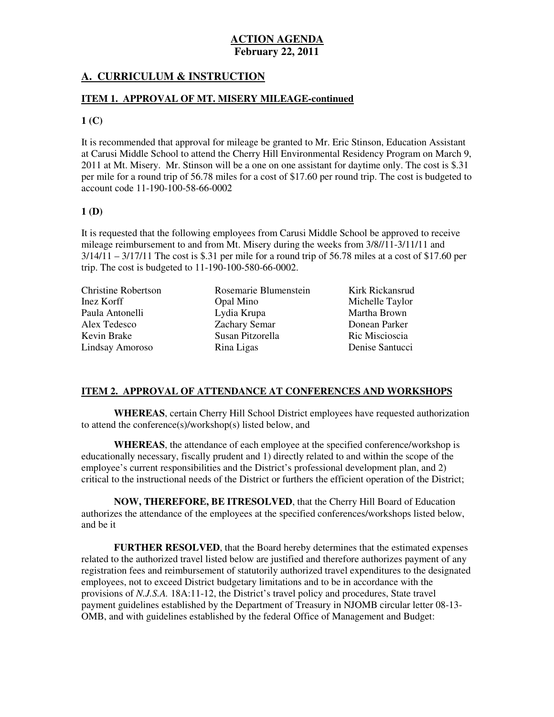## **A. CURRICULUM & INSTRUCTION**

### **ITEM 1. APPROVAL OF MT. MISERY MILEAGE-continued**

#### $1$  (C)

 It is recommended that approval for mileage be granted to Mr. Eric Stinson, Education Assistant at Carusi Middle School to attend the Cherry Hill Environmental Residency Program on March 9, 2011 at Mt. Misery. Mr. Stinson will be a one on one assistant for daytime only. The cost is \$.31 per mile for a round trip of 56.78 miles for a cost of \$17.60 per round trip. The cost is budgeted to account code 11-190-100-58-66-0002

#### **1 (D)**

 It is requested that the following employees from Carusi Middle School be approved to receive mileage reimbursement to and from Mt. Misery during the weeks from  $3/8/11$ - $3/11/11$  and  $3/14/11 - 3/17/11$  The cost is \$.31 per mile for a round trip of 56.78 miles at a cost of \$17.60 per trip. The cost is budgeted to  $11-190-100-580-66-0002$ .

**Christine Robertson** Inez Korff Paula Antonelli Alex Tedesco Kevin Brake Lindsay Amoroso Rina Ligas Denise Santucci Alex Tedesco Zachary Semar Donean Parker Kevin Brake Susan Pitzorella Ric Miscioscia Inez Korff Opal Mino Michelle Taylor Paula Antonelli Lydia Krupa Martha Brown

Opal Mino Lydia Krupa Rina Ligas Rosemarie Blumenstein

Kirk Rickansrud Donean Parker Ric Miscioscia Denise Santucci

## **ITEM 2. APPROVAL OF ATTENDANCE AT CONFERENCES AND WORKSHOPS**

 **WHEREAS**, certain Cherry Hill School District employees have requested authorization to attend the conference(s)/workshop(s) listed below, and

 **WHEREAS**, the attendance of each employee at the specified conference/workshop is educationally necessary, fiscally prudent and 1) directly related to and within the scope of the employee's current responsibilities and the District's professional development plan, and 2) critical to the instructional needs of the District or furthers the efficient operation of the District;

 **NOW, THEREFORE, BE ITRESOLVED**, that the Cherry Hill Board of Education authorizes the attendance of the employees at the specified conferences/workshops listed below, and be it

 **FURTHER RESOLVED**, that the Board hereby determines that the estimated expenses related to the authorized travel listed below are justified and therefore authorizes payment of any registration fees and reimbursement of statutorily authorized travel expenditures to the designated employees, not to exceed District budgetary limitations and to be in accordance with the provisions of *N.J.S.A.* 18A:11-12, the District's travel policy and procedures, State travel payment guidelines established by the Department of Treasury in NJOMB circular letter 08-13 OMB, and with guidelines established by the federal Office of Management and Budget: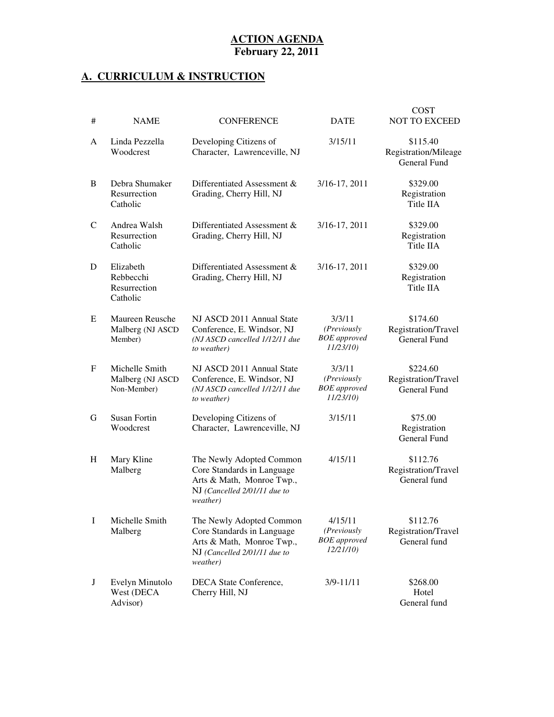### **A. CURRICULUM & INSTRUCTION**

| #        | <b>NAME</b>                                        | <b>CONFERENCE</b>                                                                                                               | <b>DATE</b>                                                      | <b>COST</b><br><b>NOT TO EXCEED</b>                     |
|----------|----------------------------------------------------|---------------------------------------------------------------------------------------------------------------------------------|------------------------------------------------------------------|---------------------------------------------------------|
| A        | Linda Pezzella<br>Woodcrest                        | Developing Citizens of<br>Character, Lawrenceville, NJ                                                                          | 3/15/11                                                          | \$115.40<br>Registration/Mileage<br><b>General Fund</b> |
| B        | Debra Shumaker<br>Resurrection<br>Catholic         | Differentiated Assessment &<br>Grading, Cherry Hill, NJ                                                                         | 3/16-17, 2011                                                    | \$329.00<br>Registration<br>Title IIA                   |
| C        | Andrea Walsh<br>Resurrection<br>Catholic           | Differentiated Assessment &<br>Grading, Cherry Hill, NJ                                                                         | 3/16-17, 2011                                                    | \$329.00<br>Registration<br>Title IIA                   |
| D        | Elizabeth<br>Rebbecchi<br>Resurrection<br>Catholic | Differentiated Assessment &<br>Grading, Cherry Hill, NJ                                                                         | 3/16-17, 2011                                                    | \$329.00<br>Registration<br>Title IIA                   |
| E        | Maureen Reusche<br>Malberg (NJ ASCD<br>Member)     | NJ ASCD 2011 Annual State<br>Conference, E. Windsor, NJ<br>(NJ ASCD cancelled 1/12/11 due<br>to weather)                        | 3/3/11<br>(Previously<br><b>BOE</b> approved<br>11/23/10         | \$174.60<br>Registration/Travel<br>General Fund         |
| F        | Michelle Smith<br>Malberg (NJ ASCD<br>Non-Member)  | NJ ASCD 2011 Annual State<br>Conference, E. Windsor, NJ<br>(NJ ASCD cancelled 1/12/11 due<br>to weather)                        | 3/3/11<br>( <i>Previously</i><br><b>BOE</b> approved<br>11/23/10 | \$224.60<br>Registration/Travel<br>General Fund         |
| G        | <b>Susan Fortin</b><br>Woodcrest                   | Developing Citizens of<br>Character, Lawrenceville, NJ                                                                          | 3/15/11                                                          | \$75.00<br>Registration<br>General Fund                 |
| H        | Mary Kline<br>Malberg                              | The Newly Adopted Common<br>Core Standards in Language<br>Arts & Math, Monroe Twp.,<br>NJ (Cancelled 2/01/11 due to<br>weather) | 4/15/11                                                          | \$112.76<br>Registration/Travel<br>General fund         |
| $\bf{I}$ | Michelle Smith<br>Malberg                          | The Newly Adopted Common<br>Core Standards in Language<br>Arts & Math, Monroe Twp.,<br>NJ (Cancelled 2/01/11 due to<br>weather) | 4/15/11<br>(Previously<br><b>BOE</b> approved<br>12/21/10        | \$112.76<br>Registration/Travel<br>General fund         |
| J        | Evelyn Minutolo<br>West (DECA<br>Advisor)          | DECA State Conference,<br>Cherry Hill, NJ                                                                                       | $3/9 - 11/11$                                                    | \$268.00<br>Hotel<br>General fund                       |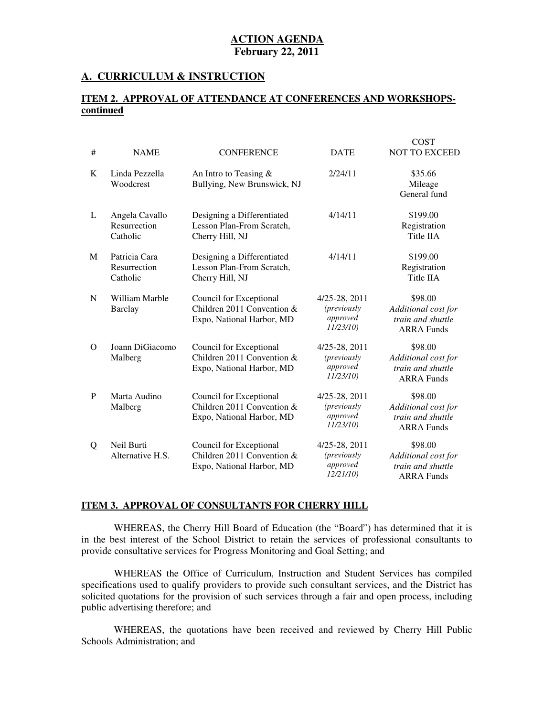#### **A. CURRICULUM & INSTRUCTION**

#### **ITEM 2. APPROVAL OF ATTENDANCE AT CONFERENCES AND WORKSHOPScontinued**

| #        | <b>NAME</b>                                | <b>CONFERENCE</b>                                                                  | <b>DATE</b>                                                      | <b>COST</b><br><b>NOT TO EXCEED</b>                                      |
|----------|--------------------------------------------|------------------------------------------------------------------------------------|------------------------------------------------------------------|--------------------------------------------------------------------------|
| K        | Linda Pezzella<br>Woodcrest                | An Intro to Teasing $&$<br>Bullying, New Brunswick, NJ                             | 2/24/11                                                          | \$35.66<br>Mileage<br>General fund                                       |
| L        | Angela Cavallo<br>Resurrection<br>Catholic | Designing a Differentiated<br>Lesson Plan-From Scratch,<br>Cherry Hill, NJ         | 4/14/11                                                          | \$199.00<br>Registration<br>Title IIA                                    |
| M        | Patricia Cara<br>Resurrection<br>Catholic  | Designing a Differentiated<br>Lesson Plan-From Scratch,<br>Cherry Hill, NJ         | 4/14/11                                                          | \$199.00<br>Registration<br>Title IIA                                    |
| N        | William Marble<br><b>Barclay</b>           | Council for Exceptional<br>Children 2011 Convention &<br>Expo, National Harbor, MD | 4/25-28, 2011<br><i>(previously</i><br>approved<br>11/23/10      | \$98.00<br>Additional cost for<br>train and shuttle<br><b>ARRA Funds</b> |
| $\Omega$ | Joann DiGiacomo<br>Malberg                 | Council for Exceptional<br>Children 2011 Convention &<br>Expo, National Harbor, MD | 4/25-28, 2011<br><i>(previously)</i><br>approved<br>11/23/10)    | \$98.00<br>Additional cost for<br>train and shuttle<br><b>ARRA Funds</b> |
| P        | Marta Audino<br>Malberg                    | Council for Exceptional<br>Children 2011 Convention &<br>Expo, National Harbor, MD | 4/25-28, 2011<br><i>(previously)</i><br>approved<br>$11/23/10$ ) | \$98.00<br>Additional cost for<br>train and shuttle<br><b>ARRA Funds</b> |
| Q        | Neil Burti<br>Alternative H.S.             | Council for Exceptional<br>Children 2011 Convention &<br>Expo, National Harbor, MD | 4/25-28, 2011<br><i>(previously)</i><br>approved<br>12/21/10     | \$98.00<br>Additional cost for<br>train and shuttle<br><b>ARRA Funds</b> |

#### **ITEM 3. APPROVAL OF CONSULTANTS FOR CHERRY HILL**

 WHEREAS, the Cherry Hill Board of Education (the "Board") has determined that it is in the best interest of the School District to retain the services of professional consultants to provide consultative services for Progress Monitoring and Goal Setting; and

 WHEREAS the Office of Curriculum, Instruction and Student Services has compiled specifications used to qualify providers to provide such consultant services, and the District has solicited quotations for the provision of such services through a fair and open process, including public advertising therefore; and

 WHEREAS, the quotations have been received and reviewed by Cherry Hill Public Schools Administration; and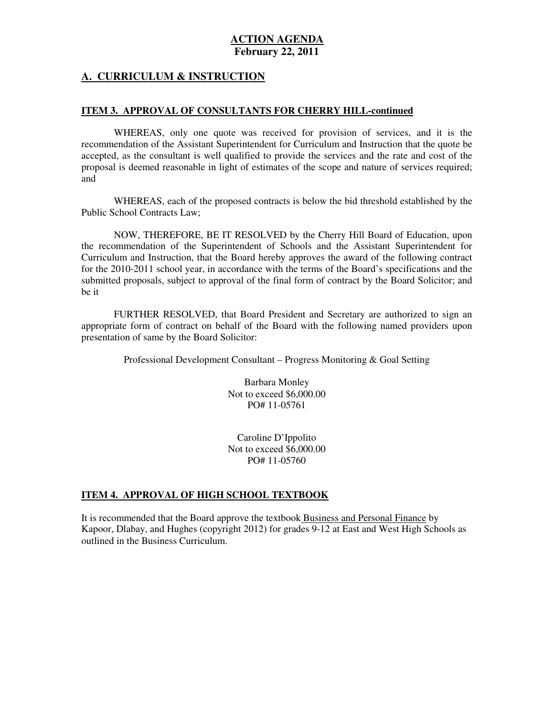#### **A. CURRICULUM & INSTRUCTION**

#### **ITEM 3. APPROVAL OF CONSULTANTS FOR CHERRY HILL-continued**

 WHEREAS, only one quote was received for provision of services, and it is the recommendation of the Assistant Superintendent for Curriculum and Instruction that the quote be accepted, as the consultant is well qualified to provide the services and the rate and cost of the proposal is deemed reasonable in light of estimates of the scope and nature of services required; and

 WHEREAS, each of the proposed contracts is below the bid threshold established by the Public School Contracts Law;

 NOW, THEREFORE, BE IT RESOLVED by the Cherry Hill Board of Education, upon the recommendation of the Superintendent of Schools and the Assistant Superintendent for Curriculum and Instruction, that the Board hereby approves the award of the following contract for the 2010-2011 school year, in accordance with the terms of the Board's specifications and the submitted proposals, subject to approval of the final form of contract by the Board Solicitor; and be it

 FURTHER RESOLVED, that Board President and Secretary are authorized to sign an appropriate form of contract on behalf of the Board with the following named providers upon presentation of same by the Board Solicitor:

Professional Development Consultant – Progress Monitoring & Goal Setting

 Barbara Monley Not to exceed \$6,000.00 PO# 11-05761

 Caroline D'Ippolito Not to exceed  $\hat{\$6,000.00}$ PO# 11-05760

#### **ITEM 4. APPROVAL OF HIGH SCHOOL TEXTBOOK**

 It is recommended that the Board approve the textbook Business and Personal Finance by Kapoor, Dlabay, and Hughes (copyright 2012) for grades 9-12 at East and West High Schools as outlined in the Business Curriculum.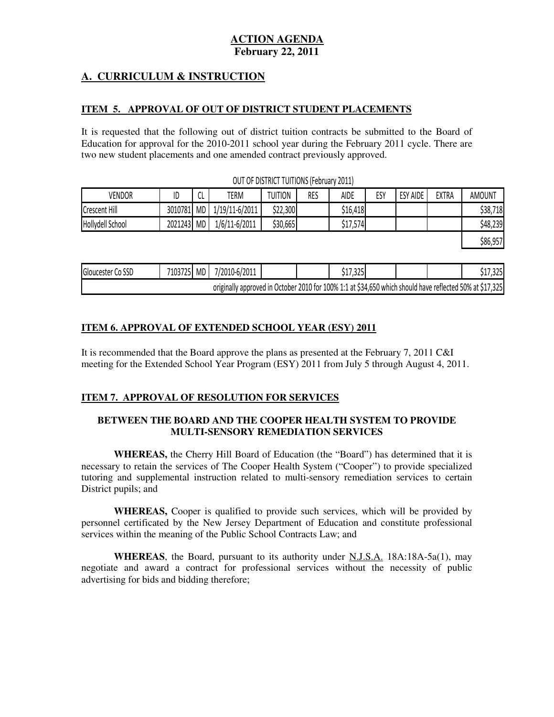## **A. CURRICULUM & INSTRUCTION**

#### **ITEM 5. APPROVAL OF OUT OF DISTRICT STUDENT PLACEMENTS**

 It is requested that the following out of district tuition contracts be submitted to the Board of Education for approval for the 2010-2011 school year during the February 2011 cycle. There are two new student placements and one amended contract previously approved.

| VENDOR               | ID      | $\sim$<br>◡∟ | TERM           | TUITION  | RES | <b>AIDE</b> | ES۱ | <b>ESY AIDE</b> | <b>EXTRA</b> | <b>AMOUNT</b> |
|----------------------|---------|--------------|----------------|----------|-----|-------------|-----|-----------------|--------------|---------------|
| <b>Crescent Hill</b> | 3010781 | <b>MD</b>    | 1/19/11-6/2011 | \$22,300 |     | \$16,418    |     |                 |              | \$38,718      |
| Hollydell School     | 2021243 | <b>MD</b>    | 1/6/11-6/2011  | \$30,665 |     | ا17,574ہ    |     |                 |              | \$48,239      |
|                      |         |              |                |          |     |             |     |                 |              | \$86,957      |

OUT OF DISTRICT TUITIONS (February 2011)

| Gloucester<br>SSC<br>w | 71N2<br>, 25L<br>נטו | <b>MD</b> | /2011<br>7/201<br>U-b/ |           |            | วาย<br>ر ے ر<br>ັ                                    |  | nne.<br>ונגכ.  |
|------------------------|----------------------|-----------|------------------------|-----------|------------|------------------------------------------------------|--|----------------|
|                        |                      |           | originally approved in | uctober i | $2010$ for | r 100% 1:1 at \$34,650 which should have reflected ! |  | ,325<br>50% at |

#### **ITEM 6. APPROVAL OF EXTENDED SCHOOL YEAR (ESY) 2011**

 It is recommended that the Board approve the plans as presented at the February 7, 2011 C&I meeting for the Extended School Year Program (ESY) 2011 from July 5 through August 4, 2011.

### **ITEM 7. APPROVAL OF RESOLUTION FOR SERVICES**

### **BETWEEN THE BOARD AND THE COOPER HEALTH SYSTEM TO PROVIDE MULTI-SENSORY REMEDIATION SERVICES**

 **WHEREAS,** the Cherry Hill Board of Education (the "Board") has determined that it is necessary to retain the services of The Cooper Health System ("Cooper") to provide specialized tutoring and supplemental instruction related to multi-sensory remediation services to certain District pupils; and

 **WHEREAS,** Cooper is qualified to provide such services, which will be provided by personnel certificated by the New Jersey Department of Education and constitute professional services within the meaning of the Public School Contracts Law; and

 **WHEREAS**, the Board, pursuant to its authority under N.J.S.A. 18A:18A-5a(1), may negotiate and award a contract for professional services without the necessity of public advertising for bids and bidding therefore;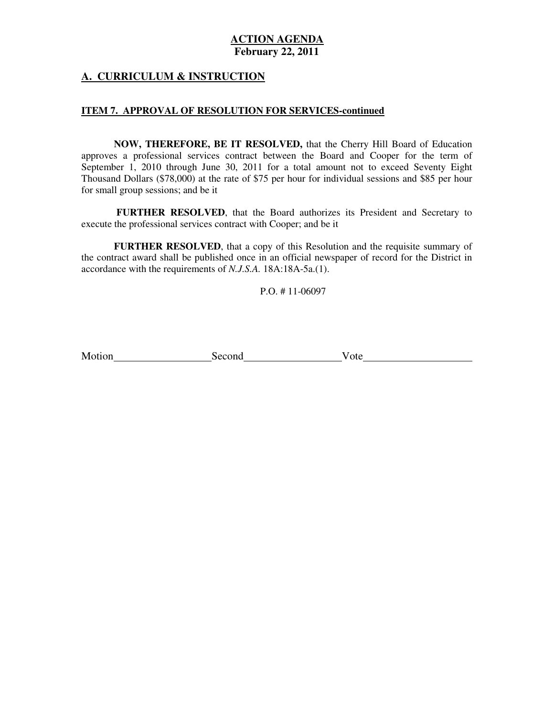## **A. CURRICULUM & INSTRUCTION**

#### **ITEM 7. APPROVAL OF RESOLUTION FOR SERVICES-continued**

 **NOW, THEREFORE, BE IT RESOLVED,** that the Cherry Hill Board of Education approves a professional services contract between the Board and Cooper for the term of September 1, 2010 through June 30, 2011 for a total amount not to exceed Seventy Eight Thousand Dollars (\$78,000) at the rate of \$75 per hour for individual sessions and \$85 per hour for small group sessions; and be it

 **FURTHER RESOLVED**, that the Board authorizes its President and Secretary to execute the professional services contract with Cooper; and be it

 **FURTHER RESOLVED**, that a copy of this Resolution and the requisite summary of the contract award shall be published once in an official newspaper of record for the District in accordance with the requirements of *N.J.S.A.* 18A:18A-5a.(1).

P.O. # 11-06097

Motion Second Vote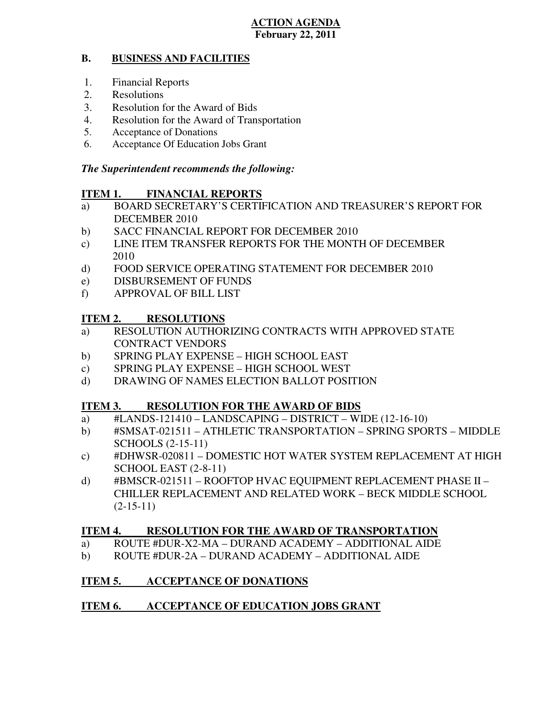#### **B. BUSINESS AND FACILITIES**

- 1. Financial Reports
- 2. Resolutions
- 3. Resolution for the Award of Bids
- 4. Resolution for the Award of Transportation
- 5. Acceptance of Donations
- 6. Acceptance Of Education Jobs Grant

## *The Superintendent recommends the following:*

#### **ITEM 1. FINANCIAL REPORTS**

- a) BOARD SECRETARY'S CERTIFICATION AND TREASURER'S REPORT FOR DECEMBER 2010
- $b)$ SACC FINANCIAL REPORT FOR DECEMBER 2010
- $\mathbf{c})$ LINE ITEM TRANSFER REPORTS FOR THE MONTH OF DECEMBER 2010
- $\mathbf{d}$ FOOD SERVICE OPERATING STATEMENT FOR DECEMBER 2010
- e) DISBURSEMENT OF FUNDS
- f) APPROVAL OF BILL LIST

#### **ITEM 2. RESOLUTIONS**

- a) RESOLUTION AUTHORIZING CONTRACTS WITH APPROVED STATE CONTRACT VENDORS
- b) SPRING PLAY EXPENSE HIGH SCHOOL EAST
- c) SPRING PLAY EXPENSE HIGH SCHOOL WEST
- d) DRAWING OF NAMES ELECTION BALLOT POSITION

#### **ITEM 3. RESOLUTION FOR THE AWARD OF BIDS**

- a)  $\#$ LANDS-121410 LANDSCAPING DISTRICT WIDE (12-16-10)
- b) #SMSAT-021511 ATHLETIC TRANSPORTATION SPRING SPORTS MIDDLE SCHOOLS (2-15-11)
- c) #DHWSR-020811 DOMESTIC HOT WATER SYSTEM REPLACEMENT AT HIGH SCHOOL EAST (2-8-11)
- d) #BMSCR-021511 ROOFTOP HVAC EQUIPMENT REPLACEMENT PHASE II CHILLER REPLACEMENT AND RELATED WORK – BECK MIDDLE SCHOOL  $(2-15-11)$

#### **ITEM 4. RESOLUTION FOR THE AWARD OF TRANSPORTATION**

- a) ROUTE #DUR-X2-MA DURAND ACADEMY ADDITIONAL AIDE
- b) ROUTE #DUR-2A DURAND ACADEMY ADDITIONAL AIDE

#### **ITEM 5. INCCEPTANCE OF DONATIONS**

#### **ITEM 6. INCOLATION ACCEPTANCE OF EDUCATION JOBS GRANT**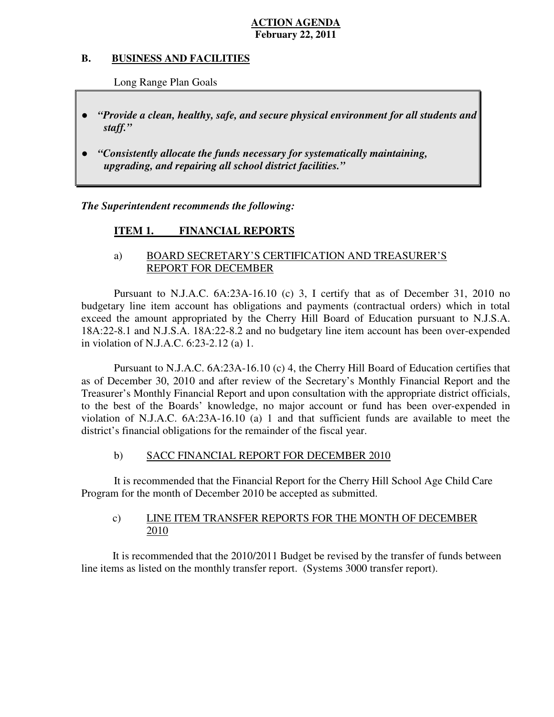#### **B. B. BUSINESS AND FACILITIES**

Long Range Plan Goals

- *"Provide a clean, healthy, safe, and secure physical environment for all students and staff."*
- *upgrading, and repairing all school district facilities."*  ● *"Consistently allocate the funds necessary for systematically maintaining,*

 *The Superintendent recommends the following:* 

#### **ITEM 1. FINANCIAL REPORTS**

## a) BOARD SECRETARY'S CERTIFICATION AND TREASURER'S REPORT FOR DECEMBER

 Pursuant to N.J.A.C. 6A:23A-16.10 (c) 3, I certify that as of December 31, 2010 no budgetary line item account has obligations and payments (contractual orders) which in total exceed the amount appropriated by the Cherry Hill Board of Education pursuant to N.J.S.A. 18A:22-8.1 and N.J.S.A. 18A:22-8.2 and no budgetary line item account has been over-expended in violation of N.J.A.C. 6:23-2.12 (a) 1.

 Pursuant to N.J.A.C. 6A:23A-16.10 (c) 4, the Cherry Hill Board of Education certifies that as of December 30, 2010 and after review of the Secretary's Monthly Financial Report and the Treasurer's Monthly Financial Report and upon consultation with the appropriate district officials, to the best of the Boards' knowledge, no major account or fund has been over-expended in violation of N.J.A.C.  $6A:23A-16.10$  (a) 1 and that sufficient funds are available to meet the district's financial obligations for the remainder of the fiscal year.

#### $b)$ SACC FINANCIAL REPORT FOR DECEMBER 2010

 It is recommended that the Financial Report for the Cherry Hill School Age Child Care Program for the month of December 2010 be accepted as submitted.

#### $\mathbf{c})$ LINE ITEM TRANSFER REPORTS FOR THE MONTH OF DECEMBER 2010

 It is recommended that the 2010/2011 Budget be revised by the transfer of funds between line items as listed on the monthly transfer report. (Systems 3000 transfer report).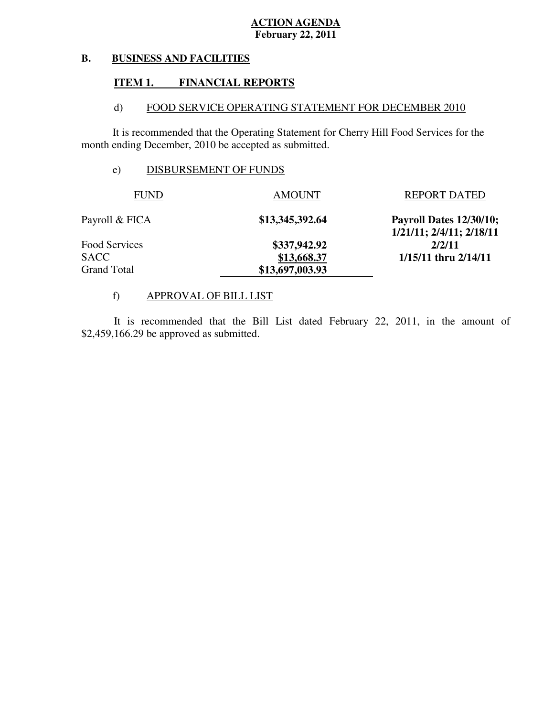#### **B. BUSINESS AND FACILITIES**

#### **ITEM 1. FINANCIAL REPORTS**

#### $\mathbf{d}$ FOOD SERVICE OPERATING STATEMENT FOR DECEMBER 2010

 It is recommended that the Operating Statement for Cherry Hill Food Services for the month ending December, 2010 be accepted as submitted.

## e) DISBURSEMENT OF FUNDS

| <b>FUND</b>        | <b>AMOUNT</b>   | <b>REPORT DATED</b>                                 |
|--------------------|-----------------|-----------------------------------------------------|
| Payroll & FICA     | \$13,345,392.64 | Payroll Dates 12/30/10;<br>1/21/11; 2/4/11; 2/18/11 |
| Food Services      | \$337,942.92    | 2/2/11                                              |
| <b>SACC</b>        | \$13,668.37     | $1/15/11$ thru $2/14/11$                            |
| <b>Grand Total</b> | \$13,697,003.93 |                                                     |

## f) APPROVAL OF BILL LIST

\$2,459,166.29 be approved as submitted. It is recommended that the Bill List dated February 22, 2011, in the amount of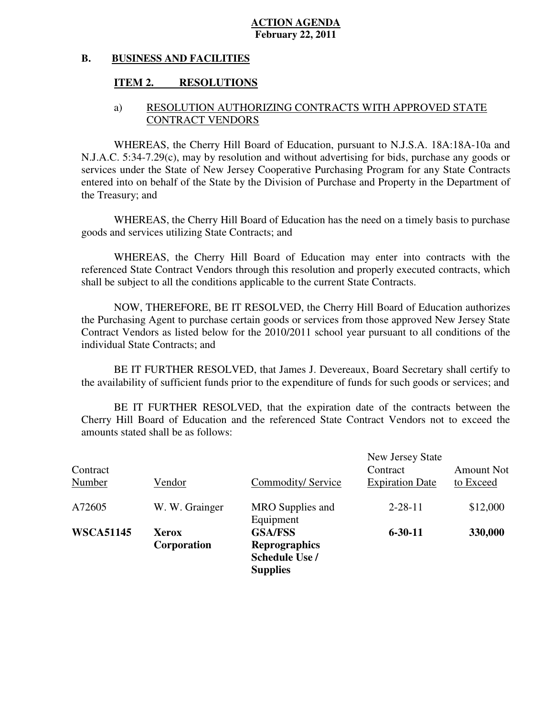#### **B. BUSINESS AND FACILITIES**

#### **ITEM 2. RESOLUTIONS**

## a) RESOLUTION AUTHORIZING CONTRACTS WITH APPROVED STATE CONTRACT VENDORS

 WHEREAS, the Cherry Hill Board of Education, pursuant to N.J.S.A. 18A:18A-10a and N.J.A.C. 5:34-7.29(c), may by resolution and without advertising for bids, purchase any goods or services under the State of New Jersey Cooperative Purchasing Program for any State Contracts entered into on behalf of the State by the Division of Purchase and Property in the Department of the Treasury; and

 WHEREAS, the Cherry Hill Board of Education has the need on a timely basis to purchase goods and services utilizing State Contracts; and

 WHEREAS, the Cherry Hill Board of Education may enter into contracts with the referenced State Contract Vendors through this resolution and properly executed contracts, which shall be subject to all the conditions applicable to the current State Contracts.

 NOW, THEREFORE, BE IT RESOLVED, the Cherry Hill Board of Education authorizes the Purchasing Agent to purchase certain goods or services from those approved New Jersey State Contract Vendors as listed below for the 2010/2011 school year pursuant to all conditions of the individual State Contracts; and

 the availability of sufficient funds prior to the expenditure of funds for such goods or services; and BE IT FURTHER RESOLVED, that James J. Devereaux, Board Secretary shall certify to

 Cherry Hill Board of Education and the referenced State Contract Vendors not to exceed the amounts stated shall be as follows: BE IT FURTHER RESOLVED, that the expiration date of the contracts between the

|                  |                |                               | New Jersey State       |                   |
|------------------|----------------|-------------------------------|------------------------|-------------------|
| Contract         |                |                               | Contract               | <b>Amount Not</b> |
| Number           | Vendor         | Commodity/Service             | <b>Expiration Date</b> | to Exceed         |
| A72605           | W. W. Grainger | MRO Supplies and<br>Equipment | $2 - 28 - 11$          | \$12,000          |
| <b>WSCA51145</b> | Xerox          | <b>GSA/FSS</b>                | $6 - 30 - 11$          | 330,000           |
|                  | Corporation    | <b>Reprographics</b>          |                        |                   |
|                  |                | Schedule Use /                |                        |                   |
|                  |                | <b>Supplies</b>               |                        |                   |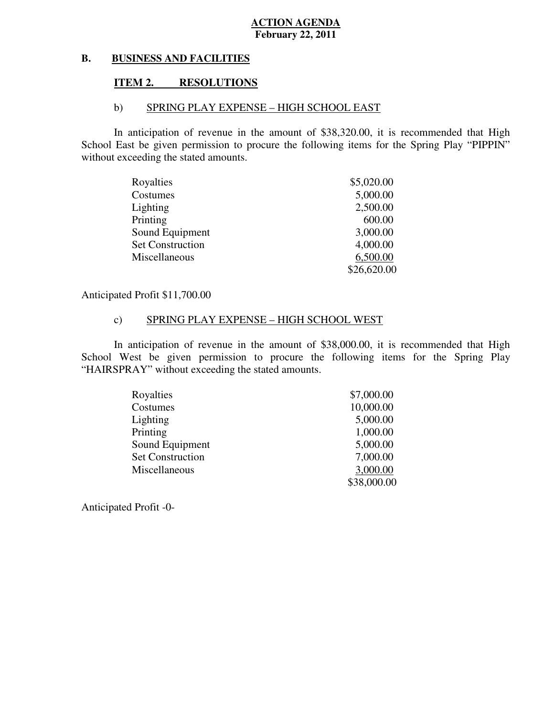#### **B. BUSINESS AND FACILITIES**

#### **ITEM 2. RESOLUTIONS**

## b) SPRING PLAY EXPENSE – HIGH SCHOOL EAST

 In anticipation of revenue in the amount of \$38,320.00, it is recommended that High School East be given permission to procure the following items for the Spring Play "PIPPIN" without exceeding the stated amounts.

| Royalties               | \$5,020.00  |
|-------------------------|-------------|
| Costumes                | 5,000.00    |
| Lighting                | 2,500.00    |
| Printing                | 600.00      |
| Sound Equipment         | 3,000.00    |
| <b>Set Construction</b> | 4,000.00    |
| Miscellaneous           | 6,500.00    |
|                         | \$26,620.00 |

Anticipated Profit \$11,700.00

## c) SPRING PLAY EXPENSE – HIGH SCHOOL WEST

 In anticipation of revenue in the amount of \$38,000.00, it is recommended that High School West be given permission to procure the following items for the Spring Play "HAIRSPRAY" without exceeding the stated amounts.

| Royalties               | \$7,000.00  |
|-------------------------|-------------|
| Costumes                | 10,000.00   |
| Lighting                | 5,000.00    |
| Printing                | 1,000.00    |
| Sound Equipment         | 5,000.00    |
| <b>Set Construction</b> | 7,000.00    |
| Miscellaneous           | 3,000.00    |
|                         | \$38,000.00 |

Anticipated Profit -0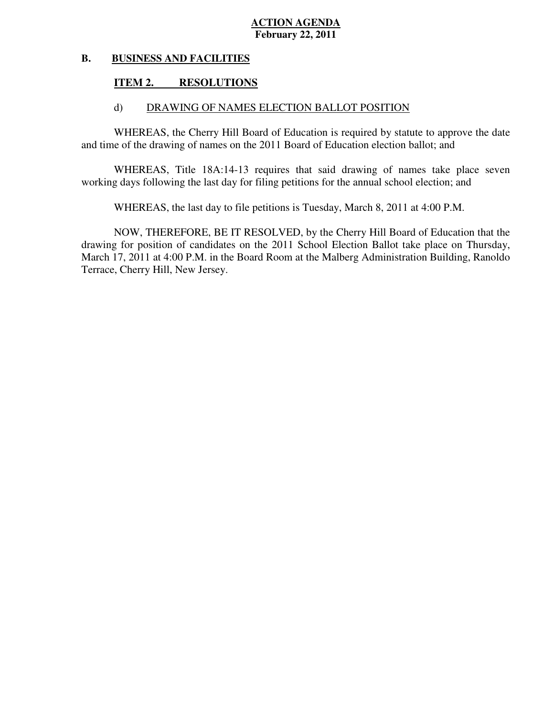#### **B. BUSINESS AND FACILITIES**

#### **ITEM 2. RESOLUTIONS**

## d) DRAWING OF NAMES ELECTION BALLOT POSITION

WHEREAS, the Cherry Hill Board of Education is required by statute to approve the date and time of the drawing of names on the 2011 Board of Education election ballot; and

WHEREAS, Title 18A:14-13 requires that said drawing of names take place seven working days following the last day for filing petitions for the annual school election; and

WHEREAS, the last day to file petitions is Tuesday, March 8, 2011 at 4:00 P.M.

 NOW, THEREFORE, BE IT RESOLVED, by the Cherry Hill Board of Education that the drawing for position of candidates on the 2011 School Election Ballot take place on Thursday, March 17, 2011 at 4:00 P.M. in the Board Room at the Malberg Administration Building, Ranoldo Terrace, Cherry Hill, New Jersey.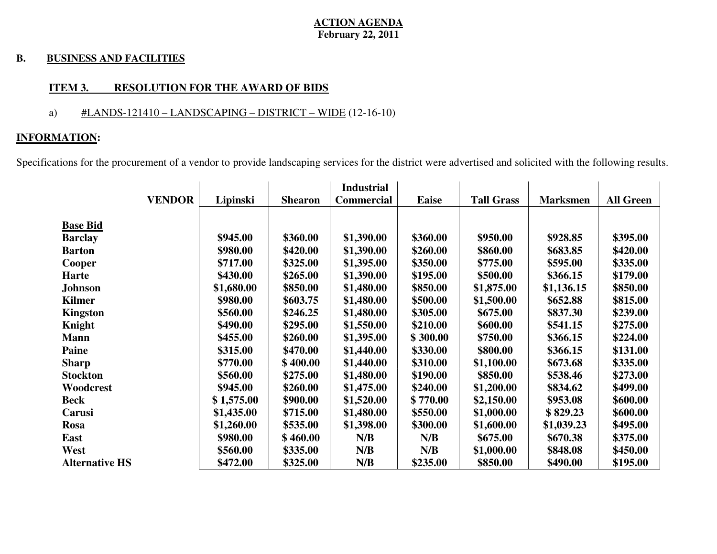#### **B. BUSINESS AND FACILITIES**

## **ITEM 3. RESOLUTION FOR THE AWARD OF BIDS**

## a)  $\#LANDS-121410 - LANDSCAPING - DISTRICT - WIDE (12-16-10)$

## **INFORMATION:**

Specifications for the procurement of a vendor to provide landscaping services for the district were advertised and solicited with the following results.

|                       |            |                | <b>Industrial</b> |              |                   |                 |                  |
|-----------------------|------------|----------------|-------------------|--------------|-------------------|-----------------|------------------|
| <b>VENDOR</b>         | Lipinski   | <b>Shearon</b> | <b>Commercial</b> | <b>Eaise</b> | <b>Tall Grass</b> | <b>Marksmen</b> | <b>All Green</b> |
|                       |            |                |                   |              |                   |                 |                  |
| <b>Base Bid</b>       |            |                |                   |              |                   |                 |                  |
| <b>Barclay</b>        | \$945.00   | \$360.00       | \$1,390.00        | \$360.00     | \$950.00          | \$928.85        | \$395.00         |
| <b>Barton</b>         | \$980.00   | \$420.00       | \$1,390.00        | \$260.00     | \$860.00          | \$683.85        | \$420.00         |
| Cooper                | \$717.00   | \$325.00       | \$1,395.00        | \$350.00     | \$775.00          | \$595.00        | \$335.00         |
| <b>Harte</b>          | \$430.00   | \$265.00       | \$1,390.00        | \$195.00     | \$500.00          | \$366.15        | \$179.00         |
| Johnson               | \$1,680.00 | \$850.00       | \$1,480.00        | \$850.00     | \$1,875.00        | \$1,136.15      | \$850.00         |
| <b>Kilmer</b>         | \$980.00   | \$603.75       | \$1,480.00        | \$500.00     | \$1,500.00        | \$652.88        | \$815.00         |
| Kingston              | \$560.00   | \$246.25       | \$1,480.00        | \$305.00     | \$675.00          | \$837.30        | \$239.00         |
| Knight                | \$490.00   | \$295.00       | \$1,550.00        | \$210.00     | \$600.00          | \$541.15        | \$275.00         |
| <b>Mann</b>           | \$455.00   | \$260.00       | \$1,395.00        | \$300.00     | \$750.00          | \$366.15        | \$224.00         |
| <b>Paine</b>          | \$315.00   | \$470.00       | \$1,440.00        | \$330.00     | \$800.00          | \$366.15        | \$131.00         |
| <b>Sharp</b>          | \$770.00   | \$400.00       | \$1,440.00        | \$310.00     | \$1,100.00        | \$673.68        | \$335.00         |
| <b>Stockton</b>       | \$560.00   | \$275.00       | \$1,480.00        | \$190.00     | \$850.00          | \$538.46        | \$273.00         |
| Woodcrest             | \$945.00   | \$260.00       | \$1,475.00        | \$240.00     | \$1,200.00        | \$834.62        | \$499.00         |
| <b>Beck</b>           | \$1,575.00 | \$900.00       | \$1,520.00        | \$770.00     | \$2,150.00        | \$953.08        | \$600.00         |
| Carusi                | \$1,435.00 | \$715.00       | \$1,480.00        | \$550.00     | \$1,000.00        | \$829.23        | \$600.00         |
| <b>Rosa</b>           | \$1,260.00 | \$535.00       | \$1,398.00        | \$300.00     | \$1,600.00        | \$1,039.23      | \$495.00         |
| East                  | \$980.00   | \$460.00       | N/B               | N/B          | \$675.00          | \$670.38        | \$375.00         |
| West                  | \$560.00   | \$335.00       | N/B               | N/B          | \$1,000.00        | \$848.08        | \$450.00         |
| <b>Alternative HS</b> | \$472.00   | \$325.00       | N/B               | \$235.00     | \$850.00          | \$490.00        | \$195.00         |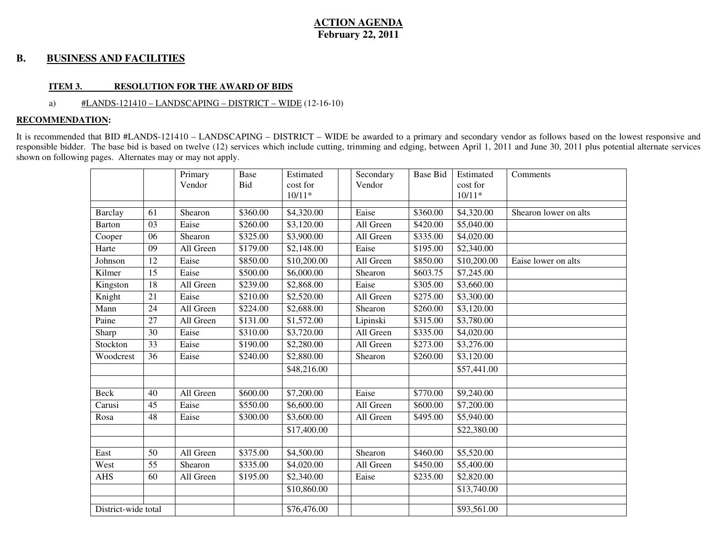#### **B. BUSINESS AND FACILITIES**

#### **ITEM 3. RESOLUTION FOR THE AWARD OF BIDS**

#### a) #LANDS-121410 – LANDSCAPING – DISTRICT – WIDE (12-16-10)

#### **RECOMMENDATION:**

It is recommended that BID #LANDS-121410 – LANDSCAPING – DISTRICT – WIDE be awarded to a primary and secondary vendor as follows based on the lowest responsive and responsible bidder. The base bid is based on twelve (12) services which include cutting, trimming and edging, between April 1, 2011 and June 30, 2011 plus potential alternate services shown on following pages. Alternates may or may not apply.

|                     |                 | Primary<br>Vendor | Base<br>Bid | Estimated<br>cost for | Secondary<br>Vendor | <b>Base Bid</b>      | Estimated<br>cost for | Comments              |
|---------------------|-----------------|-------------------|-------------|-----------------------|---------------------|----------------------|-----------------------|-----------------------|
|                     |                 |                   |             | $10/11*$              |                     |                      | $10/11*$              |                       |
| <b>Barclay</b>      | 61              | Shearon           | \$360.00    | \$4,320.00            | Eaise               | \$360.00             | \$4,320.00            | Shearon lower on alts |
| <b>Barton</b>       | 03              | Eaise             | \$260.00    | \$3,120.00            | All Green           | \$420.00             | \$5,040.00            |                       |
|                     |                 |                   |             |                       |                     |                      |                       |                       |
| Cooper              | 06              | Shearon           | \$325.00    | \$3,900.00            | All Green           | \$335.00             | \$4,020.00            |                       |
| Harte               | 09              | All Green         | \$179.00    | \$2,148.00            | Eaise               | \$195.00             | \$2,340.00            |                       |
| Johnson             | 12              | Eaise             | \$850.00    | \$10,200.00           | All Green           | \$850.00             | \$10,200.00           | Eaise lower on alts   |
| Kilmer              | 15              | Eaise             | \$500.00    | \$6,000.00            | Shearon             | \$603.75             | \$7,245.00            |                       |
| Kingston            | 18              | All Green         | \$239.00    | \$2,868.00            | Eaise               | \$305.00             | \$3,660.00            |                       |
| Knight              | 21              | Eaise             | \$210.00    | \$2,520.00            | All Green           | \$275.00             | \$3,300.00            |                       |
| Mann                | 24              | All Green         | \$224.00    | \$2,688.00            | Shearon             | \$260.00             | \$3,120.00            |                       |
| Paine               | 27              | All Green         | \$131.00    | \$1,572.00            | Lipinski            | \$315.00             | \$3,780.00            |                       |
| Sharp               | 30              | Eaise             | \$310.00    | \$3,720.00            | All Green           | \$335.00             | \$4,020.00            |                       |
| Stockton            | 33              | Eaise             | \$190.00    | \$2,280.00            | All Green           | \$273.00             | \$3,276.00            |                       |
| Woodcrest           | 36              | Eaise             | \$240.00    | \$2,880.00            | Shearon             | \$260.00             | \$3,120.00            |                       |
|                     |                 |                   |             | \$48,216.00           |                     |                      | \$57,441.00           |                       |
|                     |                 |                   |             |                       |                     |                      |                       |                       |
| Beck                | 40              | All Green         | \$600.00    | \$7,200.00            | Eaise               | $\overline{$}770.00$ | \$9,240.00            |                       |
| Carusi              | $\overline{45}$ | Eaise             | \$550.00    | \$6,600.00            | All Green           | \$600.00             | \$7,200.00            |                       |
| Rosa                | 48              | Eaise             | \$300.00    | \$3,600.00            | All Green           | \$495.00             | \$5,940.00            |                       |
|                     |                 |                   |             | \$17,400.00           |                     |                      | \$22,380.00           |                       |
|                     |                 |                   |             |                       |                     |                      |                       |                       |
| East                | 50              | All Green         | \$375.00    | \$4,500.00            | Shearon             | \$460.00             | \$5,520.00            |                       |
| West                | 55              | Shearon           | \$335.00    | \$4,020.00            | All Green           | \$450.00             | \$5,400.00            |                       |
| <b>AHS</b>          | 60              | All Green         | \$195.00    | \$2,340.00            | Eaise               | \$235.00             | \$2,820.00            |                       |
|                     |                 |                   |             | \$10,860.00           |                     |                      | \$13,740.00           |                       |
|                     |                 |                   |             |                       |                     |                      |                       |                       |
| District-wide total |                 |                   |             | \$76,476.00           |                     |                      | \$93,561.00           |                       |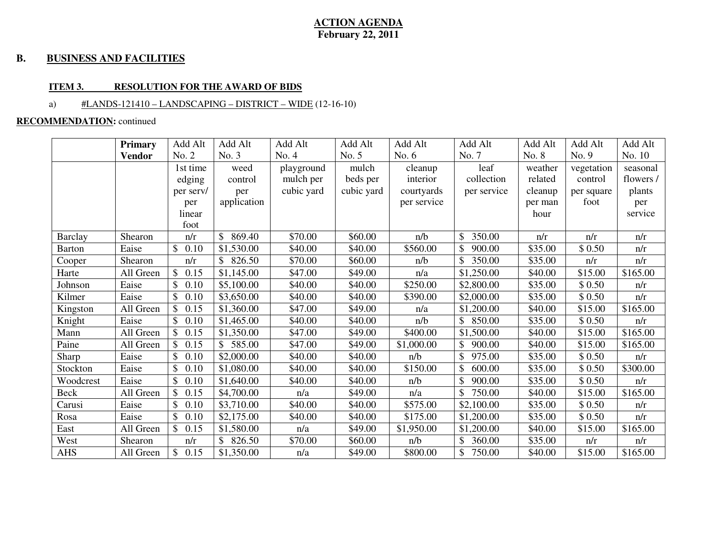#### **B. BUSINESS AND FACILITIES**

#### **ITEM 3. RESOLUTION FOR THE AWARD OF BIDS**

## a)  $\#LANDS-121410 - LANDSCAPING - DISTRICT - WIDE (12-16-10)$

#### **RECOMMENDATION:** continued

|                | <b>Primary</b> | Add Alt               | Add Alt      | Add Alt    | Add Alt    | Add Alt     | Add Alt      | Add Alt             | Add Alt    | Add Alt   |
|----------------|----------------|-----------------------|--------------|------------|------------|-------------|--------------|---------------------|------------|-----------|
|                | <b>Vendor</b>  | No. 2                 | No. 3        | No. 4      | No. 5      | No. $6$     | No. 7        | No. 8               | No. 9      | No. 10    |
|                |                | 1st time              | weed         | playground | mulch      | cleanup     | leaf         | weather             | vegetation | seasonal  |
|                |                | edging                | control      | mulch per  | beds per   | interior    | collection   | related             | control    | flowers / |
|                |                | per serv/             | per          | cubic yard | cubic yard | courtyards  | per service  | cleanup             | per square | plants    |
|                |                | per                   | application  |            |            | per service |              | per man             | foot       | per       |
|                |                | linear                |              |            |            |             |              | hour                |            | service   |
|                |                | foot                  |              |            |            |             |              |                     |            |           |
| <b>Barclay</b> | Shearon        | n/r                   | \$<br>869.40 | \$70.00    | \$60.00    | n/b         | \$<br>350.00 | n/r                 | n/r        | n/r       |
| <b>Barton</b>  | Eaise          | $\mathbb{S}$<br>0.10  | \$1,530.00   | \$40.00    | \$40.00    | \$560.00    | 900.00       | $\overline{$}35.00$ | \$0.50     | n/r       |
| Cooper         | Shearon        | n/r                   | \$826.50     | \$70.00    | \$60.00    | n/b         | 350.00       | \$35.00             | n/r        | n/r       |
| Harte          | All Green      | $\mathbb{S}$<br>0.15  | \$1,145.00   | \$47.00    | \$49.00    | n/a         | \$1,250.00   | \$40.00             | \$15.00    | \$165.00  |
| Johnson        | Eaise          | 0.10<br>\$.           | \$5,100.00   | \$40.00    | \$40.00    | \$250.00    | \$2,800.00   | \$35.00             | \$0.50     | n/r       |
| Kilmer         | Eaise          | \$.<br>0.10           | \$3,650.00   | \$40.00    | \$40.00    | \$390.00    | \$2,000.00   | \$35.00             | \$0.50     | n/r       |
| Kingston       | All Green      | 0.15                  | \$1,360.00   | \$47.00    | \$49.00    | n/a         | \$1,200.00   | \$40.00             | \$15.00    | \$165.00  |
| Knight         | Eaise          | $\mathbb{S}$<br>0.10  | \$1,465.00   | \$40.00    | \$40.00    | n/b         | \$850.00     | \$35.00             | \$0.50     | n/r       |
| Mann           | All Green      | $\mathcal{S}$<br>0.15 | \$1,350.00   | \$47.00    | \$49.00    | \$400.00    | \$1,500.00   | \$40.00             | \$15.00    | \$165.00  |
| Paine          | All Green      | 0.15                  | 585.00       | \$47.00    | \$49.00    | \$1,000.00  | 900.00       | \$40.00             | \$15.00    | \$165.00  |
| Sharp          | Eaise          | \$.<br>0.10           | \$2,000.00   | \$40.00    | \$40.00    | n/b         | 975.00       | \$35.00             | \$0.50     | n/r       |
| Stockton       | Eaise          | $\mathbb{S}$<br>0.10  | \$1,080.00   | \$40.00    | \$40.00    | \$150.00    | 600.00       | \$35.00             | \$0.50     | \$300.00  |
| Woodcrest      | Eaise          | \$<br>0.10            | \$1,640.00   | \$40.00    | \$40.00    | n/b         | 900.00       | \$35.00             | \$0.50     | n/r       |
| Beck           | All Green      | \$<br>0.15            | \$4,700.00   | n/a        | \$49.00    | n/a         | 750.00       | \$40.00             | \$15.00    | \$165.00  |
| Carusi         | Eaise          | 0.10<br>\$.           | \$3,710.00   | \$40.00    | \$40.00    | \$575.00    | \$2,100.00   | \$35.00             | \$0.50     | n/r       |
| Rosa           | Eaise          | 0.10                  | \$2,175.00   | \$40.00    | \$40.00    | \$175.00    | \$1,200.00   | \$35.00             | \$0.50     | n/r       |
| East           | All Green      | $\mathbb{S}$<br>0.15  | \$1,580.00   | n/a        | \$49.00    | \$1,950.00  | \$1,200.00   | \$40.00             | \$15.00    | \$165.00  |
| West           | Shearon        | n/r                   | \$826.50     | \$70.00    | \$60.00    | n/b         | \$360.00     | \$35.00             | n/r        | n/r       |
| <b>AHS</b>     | All Green      | \$<br>0.15            | \$1,350.00   | n/a        | \$49.00    | \$800.00    | 750.00       | \$40.00             | \$15.00    | \$165.00  |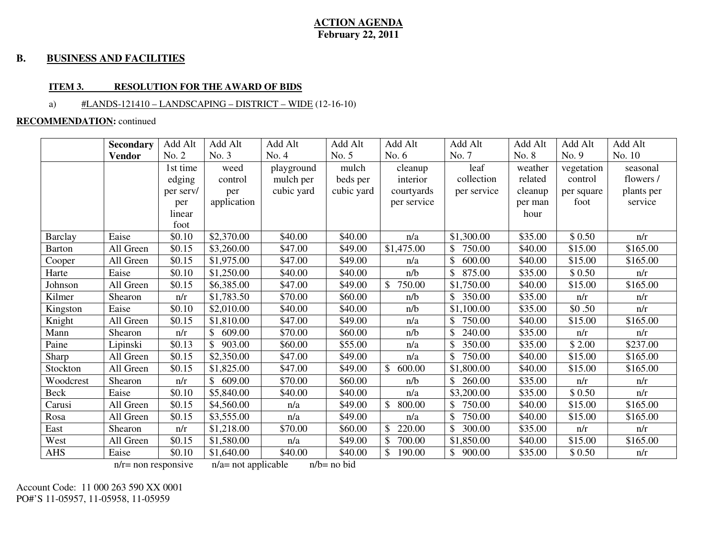#### **B. BUSINESS AND FACILITIES**

#### **ITEM 3. RESOLUTION FOR THE AWARD OF BIDS**

#### a) #LANDS-121410 – LANDSCAPING – DISTRICT – WIDE (12-16-10)

#### **RECOMMENDATION:** continued

|                | <b>Secondary</b> | Add Alt   | Add Alt                | Add Alt    | Add Alt    | Add Alt                 | Add Alt                 | Add Alt | Add Alt    | Add Alt    |
|----------------|------------------|-----------|------------------------|------------|------------|-------------------------|-------------------------|---------|------------|------------|
|                | <b>Vendor</b>    | No. 2     | No. 3                  | No. 4      | No. 5      | No. $6$                 | No. 7                   | No. 8   | No. 9      | No. 10     |
|                |                  | 1st time  | weed                   | playground | mulch      | cleanup                 | leaf                    | weather | vegetation | seasonal   |
|                |                  | edging    | control                | mulch per  | beds per   | interior                | collection              | related | control    | flowers /  |
|                |                  | per serv/ | per                    | cubic yard | cubic yard | courtyards              | per service             | cleanup | per square | plants per |
|                |                  | per       | application            |            |            | per service             |                         | per man | foot       | service    |
|                |                  | linear    |                        |            |            |                         |                         | hour    |            |            |
|                |                  | foot      |                        |            |            |                         |                         |         |            |            |
| <b>Barclay</b> | Eaise            | \$0.10    | \$2,370.00             | \$40.00    | \$40.00    | n/a                     | \$1,300.00              | \$35.00 | \$0.50     | n/r        |
| Barton         | All Green        | \$0.15    | \$3,260.00             | \$47.00    | \$49.00    | \$1,475.00              | $\mathbb{S}$<br>750.00  | \$40.00 | \$15.00    | \$165.00   |
| Cooper         | All Green        | \$0.15    | \$1,975.00             | \$47.00    | \$49.00    | n/a                     | \$<br>600.00            | \$40.00 | \$15.00    | \$165.00   |
| Harte          | Eaise            | \$0.10    | \$1,250.00             | \$40.00    | \$40.00    | n/b                     | \$<br>875.00            | \$35.00 | \$0.50     | n/r        |
| Johnson        | All Green        | \$0.15    | \$6,385.00             | \$47.00    | \$49.00    | \$<br>750.00            | \$1,750.00              | \$40.00 | \$15.00    | \$165.00   |
| Kilmer         | Shearon          | n/r       | \$1,783.50             | \$70.00    | \$60.00    | n/b                     | \$350.00                | \$35.00 | n/r        | n/r        |
| Kingston       | Eaise            | \$0.10    | \$2,010.00             | \$40.00    | \$40.00    | n/b                     | \$1,100.00              | \$35.00 | \$0.50     | n/r        |
| Knight         | All Green        | \$0.15    | \$1,810.00             | \$47.00    | \$49.00    | n/a                     | 750.00<br>\$            | \$40.00 | \$15.00    | \$165.00   |
| Mann           | Shearon          | n/r       | $\mathbb{S}$<br>609.00 | \$70.00    | \$60.00    | n/b                     | 240.00                  | \$35.00 | n/r        | n/r        |
| Paine          | Lipinski         | \$0.13    | \$903.00               | \$60.00    | \$55.00    | n/a                     | $\mathbb{S}$<br>350.00  | \$35.00 | \$2.00     | \$237.00   |
| Sharp          | All Green        | \$0.15    | \$2,350.00             | \$47.00    | \$49.00    | n/a                     | \$<br>750.00            | \$40.00 | \$15.00    | \$165.00   |
| Stockton       | All Green        | \$0.15    | \$1,825.00             | \$47.00    | \$49.00    | 600.00                  | \$1,800.00              | \$40.00 | \$15.00    | \$165.00   |
| Woodcrest      | Shearon          | n/r       | \$609.00               | \$70.00    | \$60.00    | n/b                     | \$<br>260.00            | \$35.00 | n/r        | n/r        |
| Beck           | Eaise            | \$0.10    | \$5,840.00             | \$40.00    | \$40.00    | n/a                     | \$3,200.00              | \$35.00 | \$0.50     | n/r        |
| Carusi         | All Green        | \$0.15    | \$4,560.00             | n/a        | \$49.00    | \$<br>800.00            | $\mathbb{S}$<br>750.00  | \$40.00 | \$15.00    | \$165.00   |
| Rosa           | All Green        | \$0.15    | \$3,555.00             | n/a        | \$49.00    | n/a                     | \$<br>750.00            | \$40.00 | \$15.00    | \$165.00   |
| East           | Shearon          | n/r       | \$1,218.00             | \$70.00    | \$60.00    | \$<br>220.00            | $\mathcal{S}$<br>300.00 | \$35.00 | n/r        | n/r        |
| West           | All Green        | \$0.15    | \$1,580.00             | n/a        | \$49.00    | \$<br>700.00            | \$1,850.00              | \$40.00 | \$15.00    | \$165.00   |
| <b>AHS</b>     | Eaise            | \$0.10    | \$1,640.00             | \$40.00    | \$40.00    | $\mathcal{S}$<br>190.00 | \$<br>900.00            | \$35.00 | \$0.50     | n/r        |

 $n/r$ = non responsive  $n/a$ = not applicable  $n/b$ = no bid

Account Code: 11 000 263 590 XX 0001 PO#'S 11-05957, 11-05958, 11-05959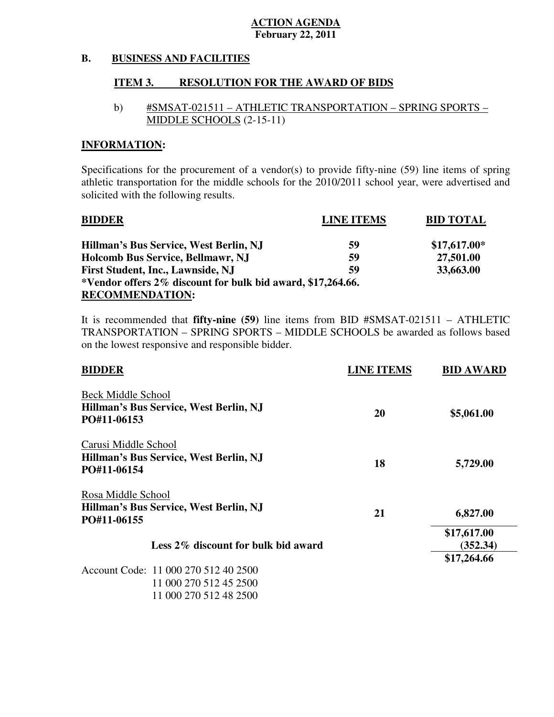#### **B. BUSINESS AND FACILITIES**

#### **ITEM 3. RESOLUTION FOR THE AWARD OF BIDS**

## b) #SMSAT-021511 – ATHLETIC TRANSPORTATION – SPRING SPORTS – MIDDLE SCHOOLS (2-15-11)

## **INFORMATION:**

 Specifications for the procurement of a vendor(s) to provide fifty-nine (59) line items of spring athletic transportation for the middle schools for the 2010/2011 school year, were advertised and solicited with the following results.

| <b>BIDDER</b>                                                | <b>LINE ITEMS</b> | <b>BID TOTAL</b> |
|--------------------------------------------------------------|-------------------|------------------|
| Hillman's Bus Service, West Berlin, NJ                       | 59                | $$17,617.00*$    |
| <b>Holcomb Bus Service, Bellmawr, NJ</b>                     | 59                | 27,501.00        |
| <b>First Student, Inc., Lawnside, NJ</b>                     | 59                | 33,663.00        |
| *Vendor offers 2\% discount for bulk bid award, \$17,264.66. |                   |                  |
| <b>RECOMMENDATION:</b>                                       |                   |                  |

 It is recommended that **fifty-nine (59)** line items from BID #SMSAT-021511 – ATHLETIC TRANSPORTATION – SPRING SPORTS – MIDDLE SCHOOLS be awarded as follows based on the lowest responsive and responsible bidder.

| <b>BIDDER</b>                                         | <b>LINE ITEMS</b> | <b>BID AWARD</b> |
|-------------------------------------------------------|-------------------|------------------|
| <b>Beck Middle School</b>                             |                   |                  |
| Hillman's Bus Service, West Berlin, NJ                | 20                | \$5,061.00       |
| PO#11-06153                                           |                   |                  |
| Carusi Middle School                                  |                   |                  |
| Hillman's Bus Service, West Berlin, NJ                |                   |                  |
| PO#11-06154                                           | 18                | 5,729.00         |
| Rosa Middle School                                    |                   |                  |
| Hillman's Bus Service, West Berlin, NJ<br>PO#11-06155 | 21                | 6,827.00         |
|                                                       |                   | \$17,617.00      |
| Less 2\% discount for bulk bid award                  |                   | (352.34)         |
|                                                       |                   | \$17,264.66      |
| Account Code: 11 000 270 512 40 2500                  |                   |                  |
| 11 000 270 512 45 2500                                |                   |                  |
| 11 000 270 512 48 2500                                |                   |                  |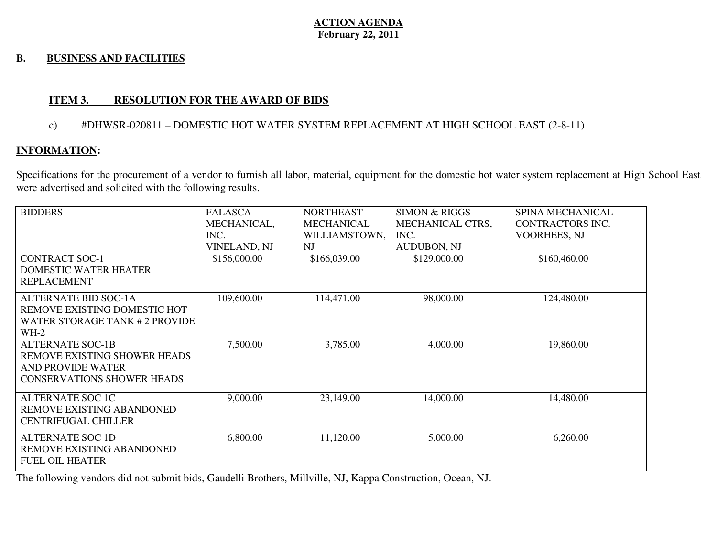#### **B. BUSINESS AND FACILITIES**

## **ITEM 3. RESOLUTION FOR THE AWARD OF BIDS**

### c) #DHWSR-020811 – DOMESTIC HOT WATER SYSTEM REPLACEMENT AT HIGH SCHOOL EAST (2-8-11)

## **INFORMATION:**

Specifications for the procurement of a vendor to furnish all labor, material, equipment for the domestic hot water system replacement at High School East were advertised and solicited with the following results.

| <b>BIDDERS</b>                    | <b>FALASCA</b>      | <b>NORTHEAST</b>  | <b>SIMON &amp; RIGGS</b> | <b>SPINA MECHANICAL</b> |
|-----------------------------------|---------------------|-------------------|--------------------------|-------------------------|
|                                   | MECHANICAL,         | <b>MECHANICAL</b> | <b>MECHANICAL CTRS,</b>  | <b>CONTRACTORS INC.</b> |
|                                   | INC.                | WILLIAMSTOWN,     | INC.                     | <b>VOORHEES, NJ</b>     |
|                                   | <b>VINELAND, NJ</b> | NJ                | <b>AUDUBON, NJ</b>       |                         |
| <b>CONTRACT SOC-1</b>             | \$156,000.00        | \$166,039.00      | \$129,000.00             | \$160,460.00            |
| <b>DOMESTIC WATER HEATER</b>      |                     |                   |                          |                         |
| <b>REPLACEMENT</b>                |                     |                   |                          |                         |
| <b>ALTERNATE BID SOC-1A</b>       | 109,600.00          | 114,471.00        | 98,000.00                | 124,480.00              |
| REMOVE EXISTING DOMESTIC HOT      |                     |                   |                          |                         |
| WATER STORAGE TANK # 2 PROVIDE    |                     |                   |                          |                         |
| $WH-2$                            |                     |                   |                          |                         |
| <b>ALTERNATE SOC-1B</b>           | 7,500.00            | 3,785.00          | 4,000.00                 | 19,860.00               |
| REMOVE EXISTING SHOWER HEADS      |                     |                   |                          |                         |
| <b>AND PROVIDE WATER</b>          |                     |                   |                          |                         |
| <b>CONSERVATIONS SHOWER HEADS</b> |                     |                   |                          |                         |
| <b>ALTERNATE SOC 1C</b>           | 9,000.00            | 23,149.00         | 14,000.00                | 14,480.00               |
| REMOVE EXISTING ABANDONED         |                     |                   |                          |                         |
| <b>CENTRIFUGAL CHILLER</b>        |                     |                   |                          |                         |
| <b>ALTERNATE SOC 1D</b>           | 6,800.00            | 11,120.00         | 5,000.00                 | 6,260.00                |
| REMOVE EXISTING ABANDONED         |                     |                   |                          |                         |
| <b>FUEL OIL HEATER</b>            |                     |                   |                          |                         |

The following vendors did not submit bids, Gaudelli Brothers, Millville, NJ, Kappa Construction, Ocean, NJ.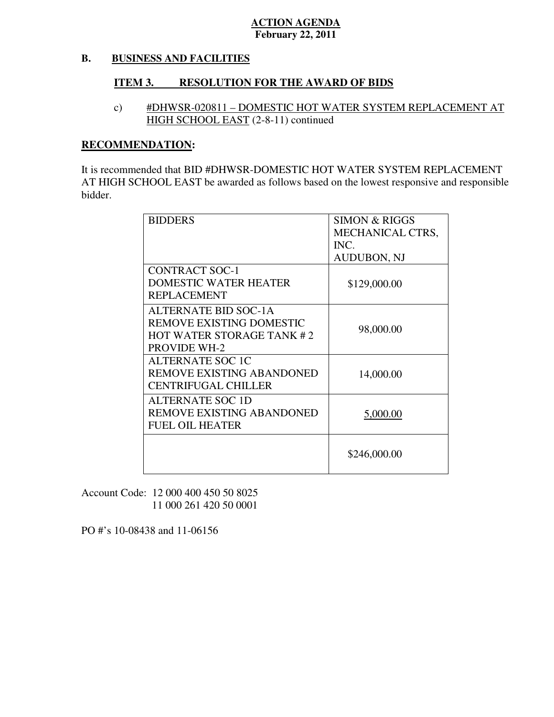#### **B. BUSINESS AND FACILITIES**

#### **ITEM 3. RESOLUTION FOR THE AWARD OF BIDS**

 c) #DHWSR-020811 – DOMESTIC HOT WATER SYSTEM REPLACEMENT AT HIGH SCHOOL EAST (2-8-11) continued

### **RECOMMENDATION:**

 It is recommended that BID #DHWSR-DOMESTIC HOT WATER SYSTEM REPLACEMENT AT HIGH SCHOOL EAST be awarded as follows based on the lowest responsive and responsible bidder.

| <b>BIDDERS</b>               | <b>SIMON &amp; RIGGS</b> |
|------------------------------|--------------------------|
|                              | MECHANICAL CTRS,         |
|                              | INC.                     |
|                              | <b>AUDUBON, NJ</b>       |
| <b>CONTRACT SOC-1</b>        |                          |
| <b>DOMESTIC WATER HEATER</b> | \$129,000.00             |
| <b>REPLACEMENT</b>           |                          |
| <b>ALTERNATE BID SOC-1A</b>  |                          |
| REMOVE EXISTING DOMESTIC     | 98,000.00                |
| HOT WATER STORAGE TANK #2    |                          |
| <b>PROVIDE WH-2</b>          |                          |
| <b>ALTERNATE SOC 1C</b>      |                          |
| REMOVE EXISTING ABANDONED    | 14,000.00                |
| <b>CENTRIFUGAL CHILLER</b>   |                          |
| <b>ALTERNATE SOC 1D</b>      |                          |
| REMOVE EXISTING ABANDONED    | 5,000.00                 |
| <b>FUEL OIL HEATER</b>       |                          |
|                              |                          |
|                              | \$246,000.00             |
|                              |                          |

 Account Code: 12 000 400 450 50 8025 11 000 261 420 50 0001

PO #'s 10-08438 and 11-06156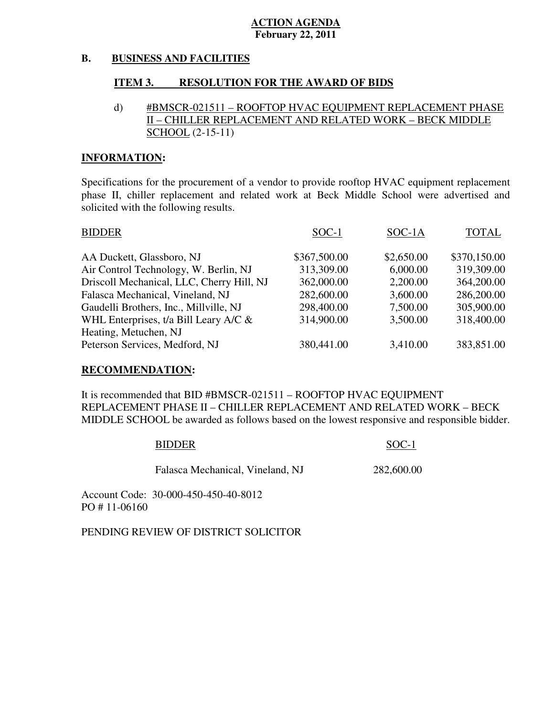#### **B. BUSINESS AND FACILITIES**

#### **ITEM 3. RESOLUTION FOR THE AWARD OF BIDS**

## d) #BMSCR-021511 – ROOFTOP HVAC EQUIPMENT REPLACEMENT PHASE II – CHILLER REPLACEMENT AND RELATED WORK – BECK MIDDLE SCHOOL (2-15-11)

### **INFORMATION:**

 Specifications for the procurement of a vendor to provide rooftop HVAC equipment replacement phase II, chiller replacement and related work at Beck Middle School were advertised and solicited with the following results.

| <b>BIDDER</b>                             | SOC-1        | SOC-1A     | <b>TOTAL</b> |
|-------------------------------------------|--------------|------------|--------------|
| AA Duckett, Glassboro, NJ                 | \$367,500.00 | \$2,650.00 | \$370,150.00 |
| Air Control Technology, W. Berlin, NJ     | 313,309.00   | 6,000.00   | 319,309.00   |
| Driscoll Mechanical, LLC, Cherry Hill, NJ | 362,000.00   | 2,200.00   | 364,200.00   |
| Falasca Mechanical, Vineland, NJ          | 282,600.00   | 3,600.00   | 286,200.00   |
| Gaudelli Brothers, Inc., Millville, NJ    | 298,400.00   | 7,500.00   | 305,900.00   |
| WHL Enterprises, t/a Bill Leary A/C $\&$  | 314,900.00   | 3,500.00   | 318,400.00   |
| Heating, Metuchen, NJ                     |              |            |              |
| Peterson Services, Medford, NJ            | 380,441.00   | 3,410.00   | 383,851.00   |

#### **RECOMMENDATION:**

It is recommended that BID #BMSCR-021511 – ROOFTOP HVAC EQUIPMENT REPLACEMENT PHASE II – CHILLER REPLACEMENT AND RELATED WORK – BECK MIDDLE SCHOOL be awarded as follows based on the lowest responsive and responsible bidder.

#### BIDDER SOC-1

Falasca Mechanical, Vineland, NJ 282,600.00

 Account Code: 30-000-450-450-40-8012 PO # 11-06160

PENDING REVIEW OF DISTRICT SOLICITOR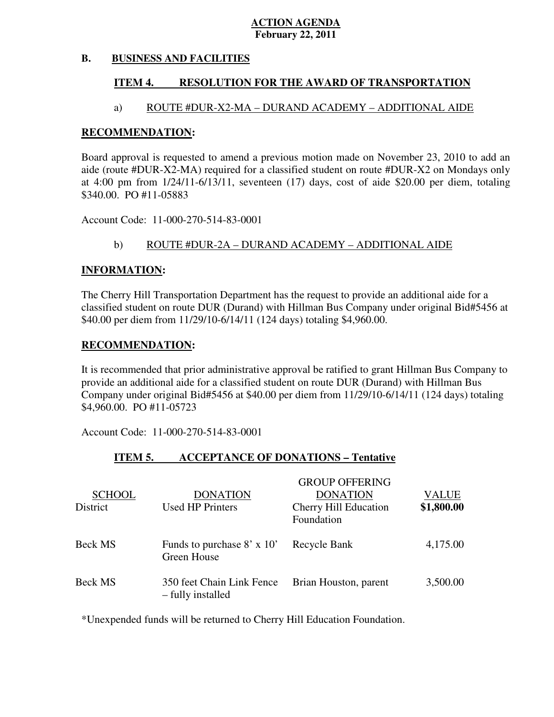#### **B. BUSINESS AND FACILITIES**

#### **ITEM 4. RESOLUTION FOR THE AWARD OF TRANSPORTATION**

## a) ROUTE #DUR-X2-MA – DURAND ACADEMY – ADDITIONAL AIDE

### **RECOMMENDATION:**

 Board approval is requested to amend a previous motion made on November 23, 2010 to add an aide (route #DUR-X2-MA) required for a classified student on route #DUR-X2 on Mondays only at 4:00 pm from 1/24/11-6/13/11, seventeen (17) days, cost of aide \$20.00 per diem, totaling \$340.00. PO #11-05883

Account Code: 11-000-270-514-83-0001

## b) ROUTE #DUR-2A – DURAND ACADEMY – ADDITIONAL AIDE

#### **INFORMATION:**

 The Cherry Hill Transportation Department has the request to provide an additional aide for a classified student on route DUR (Durand) with Hillman Bus Company under original Bid#5456 at \$40.00 per diem from 11/29/10-6/14/11 (124 days) totaling \$4,960.00.

#### **RECOMMENDATION:**

 It is recommended that prior administrative approval be ratified to grant Hillman Bus Company to provide an additional aide for a classified student on route DUR (Durand) with Hillman Bus Company under original Bid#5456 at \$40.00 per diem from 11/29/10-6/14/11 (124 days) totaling \$4,960.00. PO #11-05723

Account Code: 11-000-270-514-83-0001

#### **ITEM 5. INCCEPTANCE OF DONATIONS – Tentative**

| <b>SCHOOL</b><br>District | <b>DONATION</b><br><b>Used HP Printers</b>       | <b>GROUP OFFERING</b><br><b>DONATION</b><br>Cherry Hill Education<br>Foundation | <b>VALUE</b><br>\$1,800.00 |
|---------------------------|--------------------------------------------------|---------------------------------------------------------------------------------|----------------------------|
| <b>Beck MS</b>            | Funds to purchase $8' \times 10'$<br>Green House | Recycle Bank                                                                    | 4,175.00                   |
| <b>Beck MS</b>            | 350 feet Chain Link Fence<br>- fully installed   | Brian Houston, parent                                                           | 3,500.00                   |

\*Unexpended funds will be returned to Cherry Hill Education Foundation.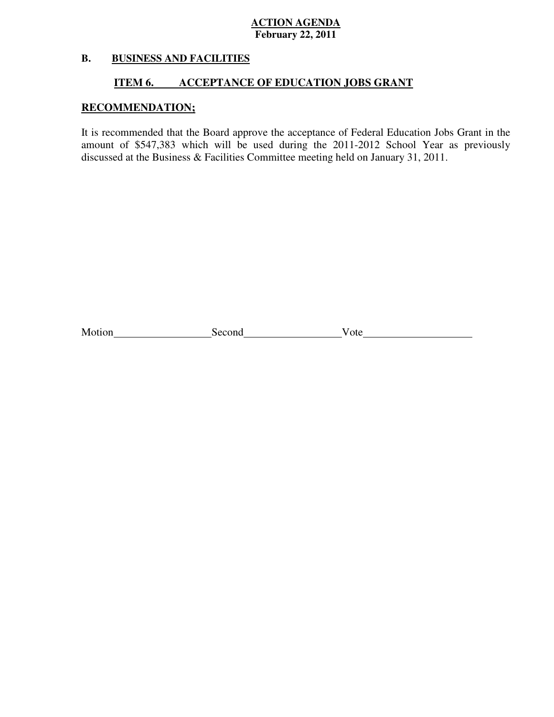#### **B. B. BUSINESS AND FACILITIES**

#### **ITEM 6. INCCEPTANCE OF EDUCATION JOBS GRANT**

## **RECOMMENDATION;**

 It is recommended that the Board approve the acceptance of Federal Education Jobs Grant in the amount of \$547,383 which will be used during the 2011-2012 School Year as previously discussed at the Business & Facilities Committee meeting held on January 31, 2011.

| Motion | cond | ote |
|--------|------|-----|
|        |      |     |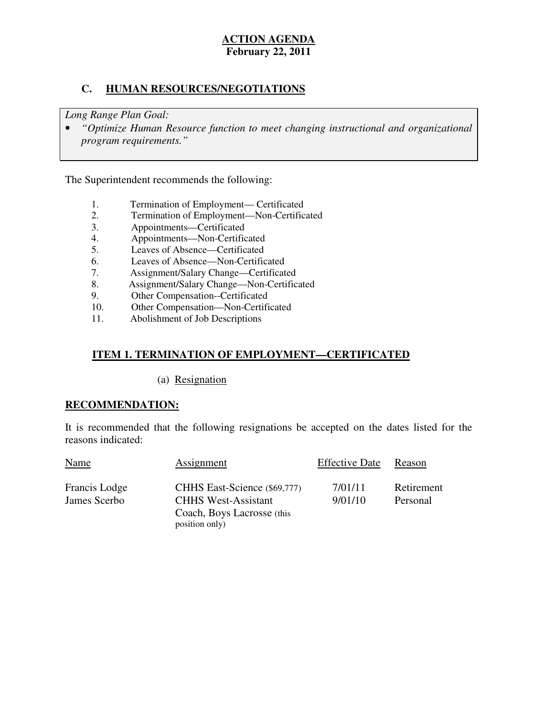## **C. HUMAN RESOURCES/NEGOTIATIONS**

 *Long Range Plan Goal:* 

**•** "Optimize Human Resource function to meet changing instructional and organizational *program requirements."* 

The Superintendent recommends the following:

- 1. Termination of Employment— Certificated
- 2. Termination of Employment—Non-Certificated
- 3. Appointments—Certificated
- 4. Appointments—Non-Certificated
- 5. Leaves of Absence—Certificated
- 6. Leaves of Absence—Non-Certificated
- 7. Assignment/Salary Change—Certificated
- 8. Assignment/Salary Change—Non-Certificated
- 9. Other Compensation--Certificated
- 10. Other Compensation—Non-Certificated
- 11. Abolishment of Job Descriptions

## **ITEM 1. TERMINATION OF EMPLOYMENT—CERTIFICATED**

(a) Resignation

## **RECOMMENDATION:**

 It is recommended that the following resignations be accepted on the dates listed for the reasons indicated:

| <b>Name</b>   | Assignment                   | <b>Effective Date</b> | Reason     |
|---------------|------------------------------|-----------------------|------------|
| Francis Lodge | CHHS East-Science (\$69,777) | 7/01/11               | Retirement |
| James Scerbo  | <b>CHHS West-Assistant</b>   | 9/01/10               | Personal   |
|               | Coach, Boys Lacrosse (this   |                       |            |
|               | position only)               |                       |            |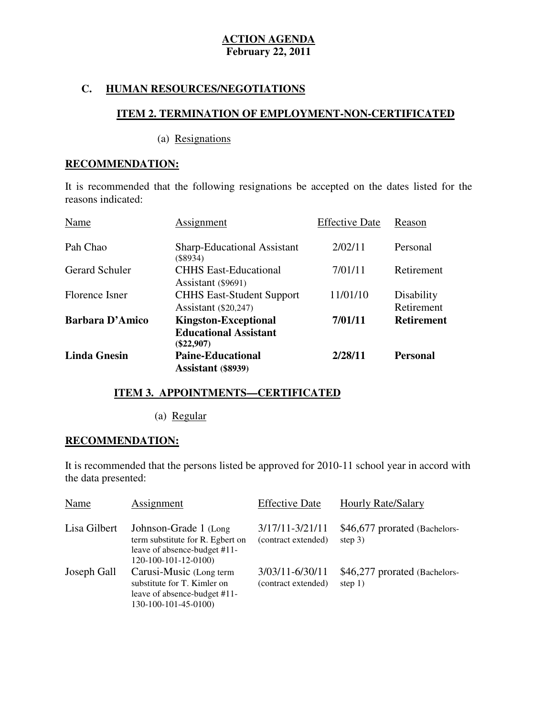## **C. HUMAN RESOURCES/NEGOTIATIONS**

# **ITEM 2. TERMINATION OF EMPLOYMENT-NON-CERTIFICATED**

(a) Resignations

### **RECOMMENDATION:**

 It is recommended that the following resignations be accepted on the dates listed for the reasons indicated:

| Name                   | Assignment                                                                  | <b>Effective Date</b> | Reason                   |
|------------------------|-----------------------------------------------------------------------------|-----------------------|--------------------------|
| Pah Chao               | <b>Sharp-Educational Assistant</b><br>$(\$8934)$                            | 2/02/11               | Personal                 |
| <b>Gerard Schuler</b>  | <b>CHHS East-Educational</b><br>Assistant $(\$9691)$                        | 7/01/11               | Retirement               |
| Florence Isner         | <b>CHHS East-Student Support</b><br>Assistant $(\$20,247)$                  | 11/01/10              | Disability<br>Retirement |
| <b>Barbara D'Amico</b> | <b>Kingston-Exceptional</b><br><b>Educational Assistant</b><br>$(\$22,907)$ | 7/01/11               | <b>Retirement</b>        |
| <b>Linda Gnesin</b>    | <b>Paine-Educational</b><br>Assistant (\$8939)                              | 2/28/11               | <b>Personal</b>          |

## **ITEM 3. APPOINTMENTS—CERTIFICATED**

(a) Regular

## **RECOMMENDATION:**

 It is recommended that the persons listed be approved for 2010-11 school year in accord with the data presented:

| Name         | Assignment                                                                                                         | <b>Effective Date</b>                  | <b>Hourly Rate/Salary</b>                  |
|--------------|--------------------------------------------------------------------------------------------------------------------|----------------------------------------|--------------------------------------------|
| Lisa Gilbert | Johnson-Grade 1 (Long)<br>term substitute for R. Egbert on<br>leave of absence-budget #11-<br>120-100-101-12-0100) | 3/17/11-3/21/11<br>(contract extended) | \$46,677 prorated (Bachelors-<br>step $3)$ |
| Joseph Gall  | Carusi-Music (Long term<br>substitute for T. Kimler on<br>leave of absence-budget #11-<br>130-100-101-45-0100)     | 3/03/11-6/30/11<br>(contract extended) | \$46,277 prorated (Bachelors-<br>step $1)$ |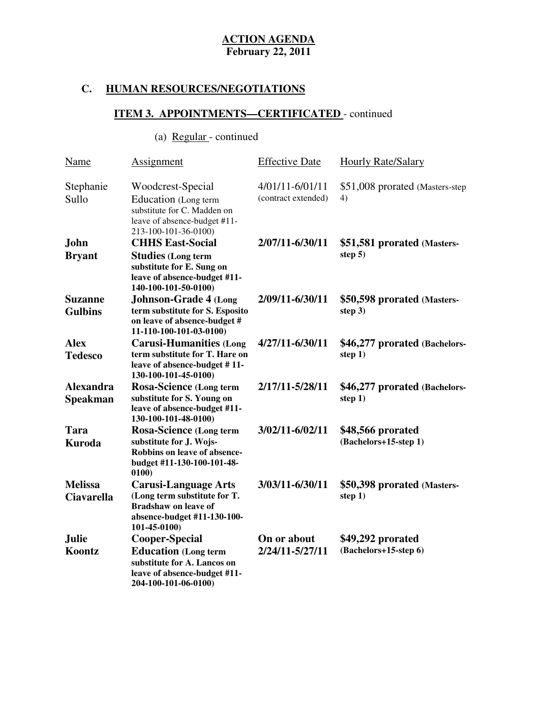# **C. HUMAN RESOURCES/NEGOTIATIONS**

# **ITEM 3. APPOINTMENTS—CERTIFICATED** - continued

# (a) <u>Regular</u> - continued

| Name                                | <b>Assignment</b>                                                                                                                         | <b>Effective Date</b>                  | <b>Hourly Rate/Salary</b>                  |
|-------------------------------------|-------------------------------------------------------------------------------------------------------------------------------------------|----------------------------------------|--------------------------------------------|
| Stephanie<br>Sullo                  | Woodcrest-Special<br>Education (Long term<br>substitute for C. Madden on<br>leave of absence-budget #11-<br>213-100-101-36-0100)          | 4/01/11-6/01/11<br>(contract extended) | \$51,008 prorated (Masters-step)<br>4)     |
| <b>John</b>                         | <b>CHHS East-Social</b>                                                                                                                   | 2/07/11-6/30/11                        | \$51,581 prorated (Masters-                |
| <b>Bryant</b>                       | <b>Studies</b> (Long term<br>substitute for E. Sung on<br>leave of absence-budget #11-<br>140-100-101-50-0100)                            |                                        | step $5)$                                  |
| <b>Suzanne</b><br><b>Gulbins</b>    | <b>Johnson-Grade 4 (Long</b><br>term substitute for S. Esposito<br>on leave of absence-budget #<br>11-110-100-101-03-0100)                | 2/09/11-6/30/11                        | \$50,598 prorated (Masters-<br>step $3)$   |
| <b>Alex</b><br><b>Tedesco</b>       | <b>Carusi-Humanities (Long</b><br>term substitute for T. Hare on<br>leave of absence-budget #11-<br>130-100-101-45-0100)                  | 4/27/11-6/30/11                        | \$46,277 prorated (Bachelors-<br>step $1)$ |
| <b>Alexandra</b><br><b>Speakman</b> | Rosa-Science (Long term<br>substitute for S. Young on<br>leave of absence-budget #11-<br>130-100-101-48-0100)                             | 2/17/11-5/28/11                        | \$46,277 prorated (Bachelors-<br>step 1)   |
| Tara<br><b>Kuroda</b>               | Rosa-Science (Long term<br>substitute for J. Wojs-<br>Robbins on leave of absence-<br>budget #11-130-100-101-48-<br>0100                  | 3/02/11-6/02/11                        | \$48,566 prorated<br>(Bachelors+15-step 1) |
| <b>Melissa</b><br><b>Ciavarella</b> | <b>Carusi-Language Arts</b><br>(Long term substitute for T.<br><b>Bradshaw on leave of</b><br>absence-budget #11-130-100-<br>101-45-0100) | 3/03/11-6/30/11                        | \$50,398 prorated (Masters-<br>step 1)     |
| <b>Julie</b>                        | <b>Cooper-Special</b>                                                                                                                     | On or about                            | \$49,292 prorated                          |
| Koontz                              | <b>Education</b> (Long term<br>substitute for A. Lancos on<br>leave of absence-budget #11-<br>204-100-101-06-0100)                        | 2/24/11-5/27/11                        | (Bachelors+15-step 6)                      |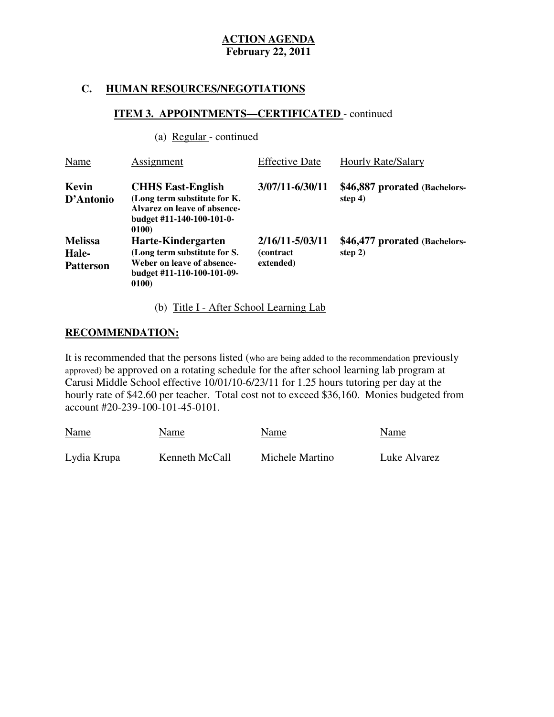### **C. HUMAN RESOURCES/NEGOTIATIONS**

# **ITEM 3. APPOINTMENTS—CERTIFICATED** - continued

(a) Regular - continued

| Name                                        | Assignment                                                                                                                     | <b>Effective Date</b>                             | <b>Hourly Rate/Salary</b>                  |
|---------------------------------------------|--------------------------------------------------------------------------------------------------------------------------------|---------------------------------------------------|--------------------------------------------|
| Kevin<br>D'Antonio                          | <b>CHHS East-English</b><br>(Long term substitute for K.<br>Alvarez on leave of absence-<br>budget #11-140-100-101-0-<br>0100) | 3/07/11-6/30/11                                   | \$46,887 prorated (Bachelors-<br>step $4)$ |
| <b>Melissa</b><br>Hale-<br><b>Patterson</b> | Harte-Kindergarten<br>(Long term substitute for S.<br>Weber on leave of absence-<br>budget #11-110-100-101-09-<br>0100)        | 2/16/11-5/03/11<br><i>(contract)</i><br>extended) | \$46,477 prorated (Bachelors-<br>step $2)$ |

(b) Title I - After School Learning Lab

#### **RECOMMENDATION:**

 It is recommended that the persons listed (who are being added to the recommendation previously approved) be approved on a rotating schedule for the after school learning lab program at Carusi Middle School effective 10/01/10-6/23/11 for 1.25 hours tutoring per day at the hourly rate of \$42.60 per teacher. Total cost not to exceed \$36,160. Monies budgeted from account #20-239-100-101-45-0101.

| <b>Name</b> | Name           | Name            | Name         |
|-------------|----------------|-----------------|--------------|
| Lydia Krupa | Kenneth McCall | Michele Martino | Luke Alvarez |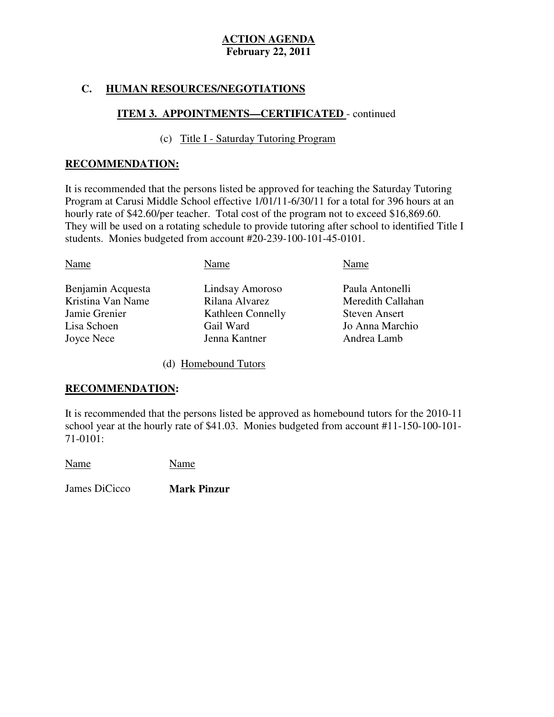## **C. HUMAN RESOURCES/NEGOTIATIONS**

## **ITEM 3. APPOINTMENTS—CERTIFICATED** - continued

# (c) Title I - Saturday Tutoring Program

## **RECOMMENDATION:**

 It is recommended that the persons listed be approved for teaching the Saturday Tutoring Program at Carusi Middle School effective 1/01/11-6/30/11 for a total for 396 hours at an hourly rate of \$42.60/per teacher. Total cost of the program not to exceed \$16,869.60. They will be used on a rotating schedule to provide tutoring after school to identified Title I students. Monies budgeted from account #20-239-100-101-45-0101.

| Name              | Name              | Name                 |
|-------------------|-------------------|----------------------|
| Benjamin Acquesta | Lindsay Amoroso   | Paula Antonelli      |
| Kristina Van Name | Rilana Alvarez    | Meredith Callahan    |
| Jamie Grenier     | Kathleen Connelly | <b>Steven Ansert</b> |
| Lisa Schoen       | Gail Ward         | Jo Anna Marchio      |
| Joyce Nece        | Jenna Kantner     | Andrea Lamb          |

(d) Homebound Tutors

## **RECOMMENDATION:**

 It is recommended that the persons listed be approved as homebound tutors for the 2010-11 school year at the hourly rate of \$41.03. Monies budgeted from account #11-150-100-101 71-0101:

Name Name

James DiCicco **Mark Pinzur**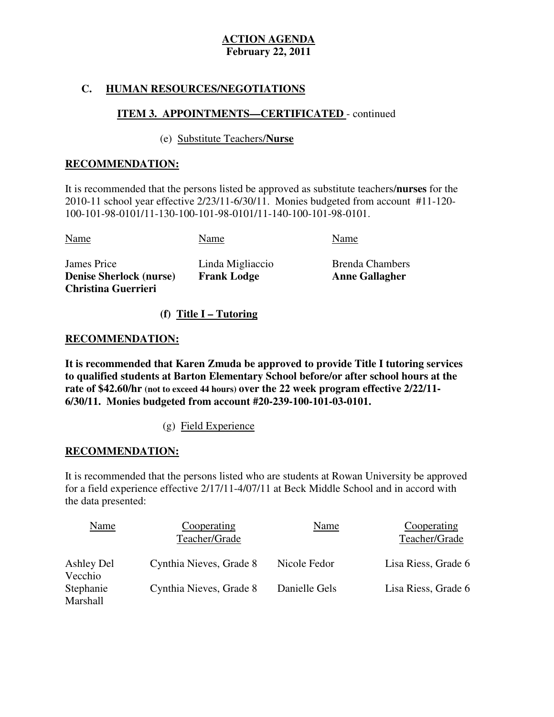## **C. HUMAN RESOURCES/NEGOTIATIONS**

## **ITEM 3. APPOINTMENTS—CERTIFICATED** - continued

## (e) Substitute Teachers/**Nurse**

## **RECOMMENDATION:**

 It is recommended that the persons listed be approved as substitute teachers/**nurses** for the 2010-11 school year effective 2/23/11-6/30/11. Monies budgeted from account #11-120 100-101-98-0101/11-130-100-101-98-0101/11-140-100-101-98-0101.

| Name                                                         | Name               | Name                   |
|--------------------------------------------------------------|--------------------|------------------------|
| James Price                                                  | Linda Migliaccio   | <b>Brenda Chambers</b> |
| <b>Denise Sherlock (nurse)</b><br><b>Christina Guerrieri</b> | <b>Frank Lodge</b> | <b>Anne Gallagher</b>  |

**(f) Title I – Tutoring** 

## **RECOMMENDATION:**

 **It is recommended that Karen Zmuda be approved to provide Title I tutoring services to qualified students at Barton Elementary School before/or after school hours at the rate of \$42.60/hr (not to exceed 44 hours) over the 22 week program effective 2/22/11 6/30/11. Monies budgeted from account #20-239-100-101-03-0101.** 

(g) Field Experience

## **RECOMMENDATION:**

 It is recommended that the persons listed who are students at Rowan University be approved for a field experience effective 2/17/11-4/07/11 at Beck Middle School and in accord with the data presented:

| Name                  | Cooperating<br>Teacher/Grade | <u>Name</u>   | Cooperating<br>Teacher/Grade |
|-----------------------|------------------------------|---------------|------------------------------|
| Ashley Del<br>Vecchio | Cynthia Nieves, Grade 8      | Nicole Fedor  | Lisa Riess, Grade 6          |
| Stephanie<br>Marshall | Cynthia Nieves, Grade 8      | Danielle Gels | Lisa Riess, Grade 6          |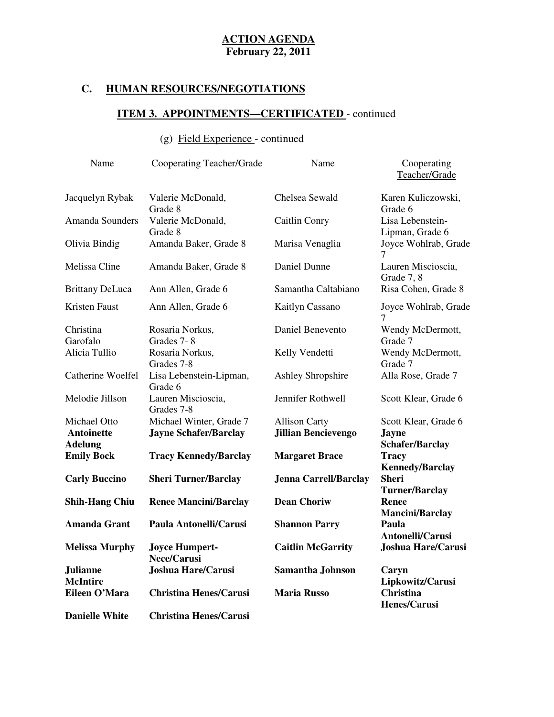# **C. HUMAN RESOURCES/NEGOTIATIONS**

# **ITEM 3. APPOINTMENTS—CERTIFICATED** - continued

# (g) Field Experience - continued

| Name                                         | <b>Cooperating Teacher/Grade</b>                        | Name                                               | Cooperating<br>Teacher/Grade                                   |
|----------------------------------------------|---------------------------------------------------------|----------------------------------------------------|----------------------------------------------------------------|
| Jacquelyn Rybak                              | Valerie McDonald,<br>Grade 8                            | Chelsea Sewald                                     | Karen Kuliczowski,<br>Grade 6                                  |
| <b>Amanda Sounders</b>                       | Valerie McDonald,<br>Grade 8                            | Caitlin Conry                                      | Lisa Lebenstein-<br>Lipman, Grade 6                            |
| Olivia Bindig                                | Amanda Baker, Grade 8                                   | Marisa Venaglia                                    | Joyce Wohlrab, Grade<br>7                                      |
| Melissa Cline                                | Amanda Baker, Grade 8                                   | Daniel Dunne                                       | Lauren Miscioscia,<br>Grade 7, 8                               |
| <b>Brittany DeLuca</b>                       | Ann Allen, Grade 6                                      | Samantha Caltabiano                                | Risa Cohen, Grade 8                                            |
| Kristen Faust                                | Ann Allen, Grade 6                                      | Kaitlyn Cassano                                    | Joyce Wohlrab, Grade<br>7                                      |
| Christina<br>Garofalo                        | Rosaria Norkus,<br>Grades 7-8                           | Daniel Benevento                                   | Wendy McDermott,<br>Grade 7                                    |
| Alicia Tullio                                | Rosaria Norkus,<br>Grades 7-8                           | Kelly Vendetti                                     | Wendy McDermott,<br>Grade 7                                    |
| Catherine Woelfel                            | Lisa Lebenstein-Lipman,<br>Grade 6                      | <b>Ashley Shropshire</b>                           | Alla Rose, Grade 7                                             |
| Melodie Jillson                              | Lauren Miscioscia,<br>Grades 7-8                        | Jennifer Rothwell                                  | Scott Klear, Grade 6                                           |
| Michael Otto<br>Antoinette<br><b>Adelung</b> | Michael Winter, Grade 7<br><b>Jayne Schafer/Barclay</b> | <b>Allison Carty</b><br><b>Jillian Bencievengo</b> | Scott Klear, Grade 6<br><b>Jayne</b><br><b>Schafer/Barclay</b> |
| <b>Emily Bock</b>                            | <b>Tracy Kennedy/Barclay</b>                            | <b>Margaret Brace</b>                              | <b>Tracy</b><br><b>Kennedy/Barclay</b>                         |
| <b>Carly Buccino</b>                         | <b>Sheri Turner/Barclay</b>                             | <b>Jenna Carrell/Barclay</b>                       | <b>Sheri</b><br><b>Turner/Barclay</b>                          |
| <b>Shih-Hang Chiu</b>                        | <b>Renee Mancini/Barclay</b>                            | <b>Dean Choriw</b>                                 | <b>Renee</b><br><b>Mancini/Barclay</b>                         |
| <b>Amanda Grant</b>                          | Paula Antonelli/Carusi                                  | <b>Shannon Parry</b>                               | Paula<br>Antonelli/Carusi                                      |
| <b>Melissa Murphy</b>                        | <b>Joyce Humpert-</b><br><b>Nece/Carusi</b>             | <b>Caitlin McGarrity</b>                           | <b>Joshua Hare/Carusi</b>                                      |
| <b>Julianne</b><br><b>McIntire</b>           | <b>Joshua Hare/Carusi</b>                               | Samantha Johnson                                   | Caryn<br>Lipkowitz/Carusi                                      |
| Eileen O'Mara                                | <b>Christina Henes/Carusi</b>                           | <b>Maria Russo</b>                                 | <b>Christina</b><br>Henes/Carusi                               |
| <b>Danielle White</b>                        | <b>Christina Henes/Carusi</b>                           |                                                    |                                                                |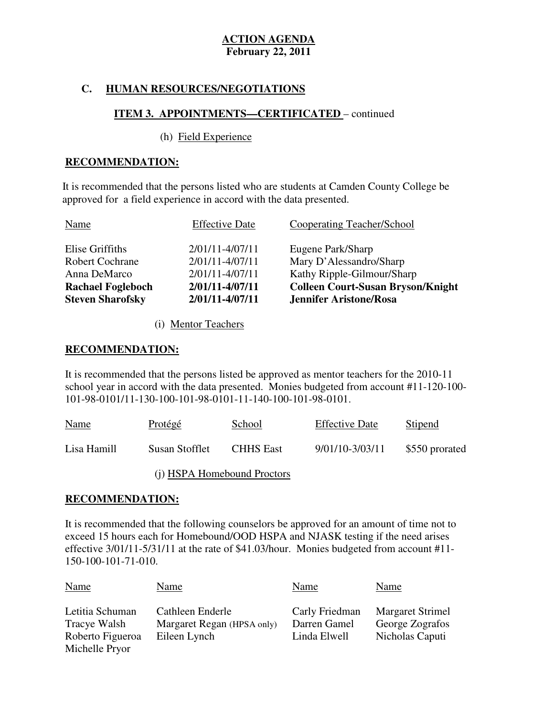## **C. HUMAN RESOURCES/NEGOTIATIONS**

## **ITEM 3. APPOINTMENTS—CERTIFICATED** – continued

#### (h) Field Experience

#### **RECOMMENDATION:**

It is recommended that the persons listed who are students at Camden County College be approved for a field experience in accord with the data presented.

| <b>Steven Sharofsky</b>  | 2/01/11-4/07/11       | <b>Jennifer Aristone/Rosa</b>            |
|--------------------------|-----------------------|------------------------------------------|
| <b>Rachael Fogleboch</b> | 2/01/11-4/07/11       | <b>Colleen Court-Susan Bryson/Knight</b> |
| Anna DeMarco             | $2/01/11 - 4/07/11$   | Kathy Ripple-Gilmour/Sharp               |
| <b>Robert Cochrane</b>   | $2/01/11 - 4/07/11$   | Mary D'Alessandro/Sharp                  |
| Elise Griffiths          | 2/01/11-4/07/11       | Eugene Park/Sharp                        |
| Name                     | <b>Effective Date</b> | <b>Cooperating Teacher/School</b>        |

(i) Mentor Teachers

#### **RECOMMENDATION:**

 It is recommended that the persons listed be approved as mentor teachers for the 2010-11 school year in accord with the data presented. Monies budgeted from account #11-120-100 101-98-0101/11-130-100-101-98-0101-11-140-100-101-98-0101.

| <b>Name</b> | Protégé        | School                      | <b>Effective Date</b> | Stipend        |
|-------------|----------------|-----------------------------|-----------------------|----------------|
| Lisa Hamill | Susan Stofflet | <b>CHHS</b> East            | 9/01/10-3/03/11       | \$550 prorated |
|             |                | (i) HSPA Homebound Proctors |                       |                |

## **RECOMMENDATION:**

 It is recommended that the following counselors be approved for an amount of time not to exceed 15 hours each for Homebound/OOD HSPA and NJASK testing if the need arises effective  $3/01/11-5/31/11$  at the rate of \$41.03/hour. Monies budgeted from account #11 150-100-101-71-010.

| <b>Name</b><br>Name                                                   |                                                                | Name                                           | Name                                                          |
|-----------------------------------------------------------------------|----------------------------------------------------------------|------------------------------------------------|---------------------------------------------------------------|
| Letitia Schuman<br>Tracye Walsh<br>Roberto Figueroa<br>Michelle Pryor | Cathleen Enderle<br>Margaret Regan (HPSA only)<br>Eileen Lynch | Carly Friedman<br>Darren Gamel<br>Linda Elwell | <b>Margaret Strimel</b><br>George Zografos<br>Nicholas Caputi |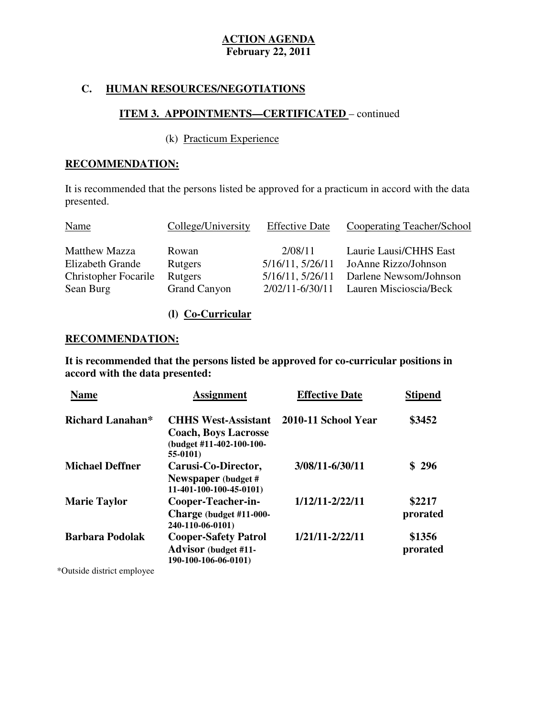## **C. HUMAN RESOURCES/NEGOTIATIONS**

## **ITEM 3. APPOINTMENTS—CERTIFICATED** – continued

## (k) Practicum Experience

## **RECOMMENDATION:**

 It is recommended that the persons listed be approved for a practicum in accord with the data presented. presented.<br>
Name College/University Effective Date Cooperating Teacher/School

| <b>Name</b>                 | College/University  | <b>Effective Date</b> | Cooperating Teacher/School                   |
|-----------------------------|---------------------|-----------------------|----------------------------------------------|
| <b>Matthew Mazza</b>        | Rowan               | 2/08/11               | Laurie Lausi/CHHS East                       |
| Elizabeth Grande            | Rutgers             |                       | $5/16/11$ , $5/26/11$ JoAnne Rizzo/Johnson   |
| <b>Christopher Focarile</b> | Rutgers             |                       | $5/16/11$ , $5/26/11$ Darlene Newsom/Johnson |
| Sean Burg                   | <b>Grand Canyon</b> |                       | $2/02/11 - 6/30/11$ Lauren Miscioscia/Beck   |

## **(l) Co-Curricular**

## **RECOMMENDATION:**

 **It is recommended that the persons listed be approved for co-curricular positions in accord with the data presented:** 

| <b>Name</b>             | <b>Assignment</b>                                                                                 | <b>Effective Date</b> | <b>Stipend</b>     |
|-------------------------|---------------------------------------------------------------------------------------------------|-----------------------|--------------------|
| <b>Richard Lanahan*</b> | <b>CHHS West-Assistant</b><br><b>Coach, Boys Lacrosse</b><br>(budget #11-402-100-100-<br>55-0101) | 2010-11 School Year   | \$3452             |
| <b>Michael Deffner</b>  | Carusi-Co-Director,<br>Newspaper (budget #<br>11-401-100-100-45-0101)                             | 3/08/11-6/30/11       | \$296              |
| <b>Marie Taylor</b>     | Cooper-Teacher-in-<br>Charge (budget #11-000-<br>240-110-06-0101)                                 | 1/12/11-2/22/11       | \$2217<br>prorated |
| <b>Barbara Podolak</b>  | <b>Cooper-Safety Patrol</b><br><b>Advisor</b> (budget #11-<br>190-100-106-06-0101)                | 1/21/11-2/22/11       | \$1356<br>prorated |

\*Outside district employee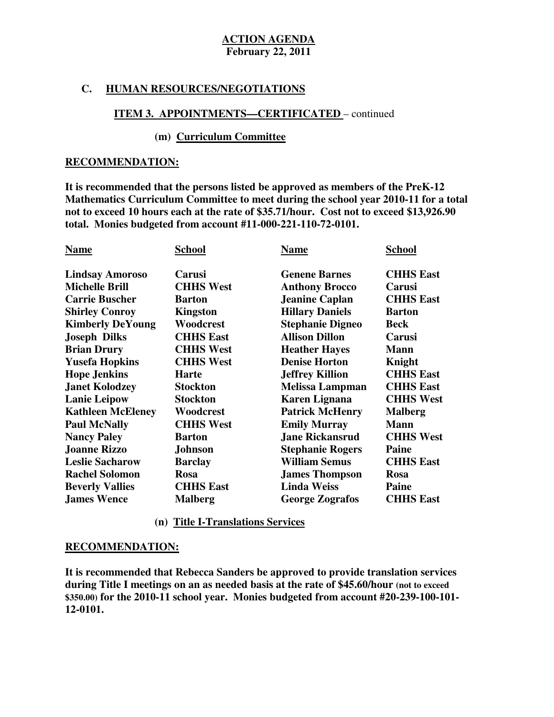## **C. HUMAN RESOURCES/NEGOTIATIONS**

# **ITEM 3. APPOINTMENTS—CERTIFICATED** – continued

### **(m) Curriculum Committee**

#### **RECOMMENDATION:**

 **It is recommended that the persons listed be approved as members of the PreK-12 Mathematics Curriculum Committee to meet during the school year 2010-11 for a total not to exceed 10 hours each at the rate of \$35.71/hour. Cost not to exceed \$13,926.90 total. Monies budgeted from account #11-000-221-110-72-0101.** 

| <b>Name</b>              | School           | <b>Name</b>             | School           |
|--------------------------|------------------|-------------------------|------------------|
| <b>Lindsay Amoroso</b>   | <b>Carusi</b>    | <b>Genene Barnes</b>    | <b>CHHS East</b> |
| <b>Michelle Brill</b>    | <b>CHHS West</b> | <b>Anthony Brocco</b>   | Carusi           |
| <b>Carrie Buscher</b>    | <b>Barton</b>    | <b>Jeanine Caplan</b>   | <b>CHHS East</b> |
| <b>Shirley Conroy</b>    | <b>Kingston</b>  | <b>Hillary Daniels</b>  | <b>Barton</b>    |
| <b>Kimberly DeYoung</b>  | Woodcrest        | <b>Stephanie Digneo</b> | <b>Beck</b>      |
| <b>Joseph Dilks</b>      | <b>CHHS East</b> | <b>Allison Dillon</b>   | Carusi           |
| <b>Brian Drury</b>       | <b>CHHS West</b> | <b>Heather Hayes</b>    | <b>Mann</b>      |
| <b>Yusefa Hopkins</b>    | <b>CHHS West</b> | <b>Denise Horton</b>    | Knight           |
| <b>Hope Jenkins</b>      | <b>Harte</b>     | <b>Jeffrey Killion</b>  | <b>CHHS East</b> |
| <b>Janet Kolodzey</b>    | <b>Stockton</b>  | <b>Melissa Lampman</b>  | <b>CHHS East</b> |
| <b>Lanie Leipow</b>      | <b>Stockton</b>  | <b>Karen Lignana</b>    | <b>CHHS West</b> |
| <b>Kathleen McEleney</b> | Woodcrest        | <b>Patrick McHenry</b>  | <b>Malberg</b>   |
| <b>Paul McNally</b>      | <b>CHHS West</b> | <b>Emily Murray</b>     | <b>Mann</b>      |
| <b>Nancy Paley</b>       | <b>Barton</b>    | <b>Jane Rickansrud</b>  | <b>CHHS West</b> |
| <b>Joanne Rizzo</b>      | <b>Johnson</b>   | <b>Stephanie Rogers</b> | Paine            |
| <b>Leslie Sacharow</b>   | <b>Barclay</b>   | <b>William Semus</b>    | <b>CHHS East</b> |
| <b>Rachel Solomon</b>    | <b>Rosa</b>      | <b>James Thompson</b>   | <b>Rosa</b>      |
| <b>Beverly Vallies</b>   | <b>CHHS East</b> | <b>Linda Weiss</b>      | Paine            |
| <b>James Wence</b>       | <b>Malberg</b>   | <b>George Zografos</b>  | <b>CHHS East</b> |

#### **(n) Title I-Translations Services**

### **RECOMMENDATION:**

 **It is recommended that Rebecca Sanders be approved to provide translation services during Title I meetings on an as needed basis at the rate of \$45.60/hour (not to exceed \$350.00) for the 2010-11 school year. Monies budgeted from account #20-239-100-101 12-0101.**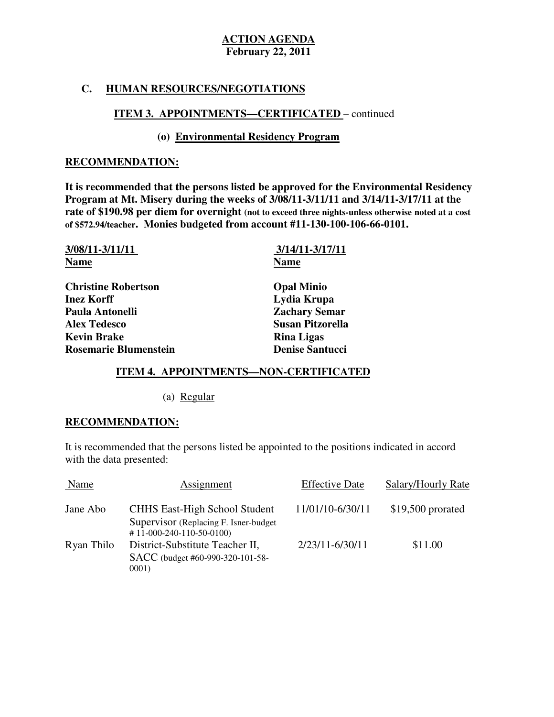## **C. HUMAN RESOURCES/NEGOTIATIONS**

# **ITEM 3. APPOINTMENTS—CERTIFICATED** – continued

## **(o) Environmental Residency Program**

#### **RECOMMENDATION:**

 **It is recommended that the persons listed be approved for the Environmental Residency Program at Mt. Misery during the weeks of 3/08/11-3/11/11 and 3/14/11-3/17/11 at the rate of \$190.98 per diem for overnight (not to exceed three nights-unless otherwise noted at a cost of \$572.94/teacher. Monies budgeted from account #11-130-100-106-66-0101.** 

| 3/08/11-3/11/11              | 3/14/11-3/17/11         |
|------------------------------|-------------------------|
| <b>Name</b>                  | <b>Name</b>             |
| <b>Christine Robertson</b>   | <b>Opal Minio</b>       |
| <b>Inez Korff</b>            | Lydia Krupa             |
| Paula Antonelli              | <b>Zachary Semar</b>    |
| <b>Alex Tedesco</b>          | <b>Susan Pitzorella</b> |
| <b>Kevin Brake</b>           | <b>Rina Ligas</b>       |
| <b>Rosemarie Blumenstein</b> | <b>Denise Santucci</b>  |

#### ٦ **ITEM 4. APPOINTMENTS—NON-CERTIFICATED**

(a) Regular

## **RECOMMENDATION:**

 It is recommended that the persons listed be appointed to the positions indicated in accord with the data presented:

| Name       | Assignment                                                                                                   | <b>Effective Date</b> | Salary/Hourly Rate |
|------------|--------------------------------------------------------------------------------------------------------------|-----------------------|--------------------|
| Jane Abo   | <b>CHHS East-High School Student</b><br>Supervisor (Replacing F. Isner-budget)<br>$# 11-000-240-110-50-0100$ | 11/01/10-6/30/11      | $$19,500$ prorated |
| Ryan Thilo | District-Substitute Teacher II,<br>SACC (budget #60-990-320-101-58-<br>0001)                                 | 2/23/11-6/30/11       | \$11.00            |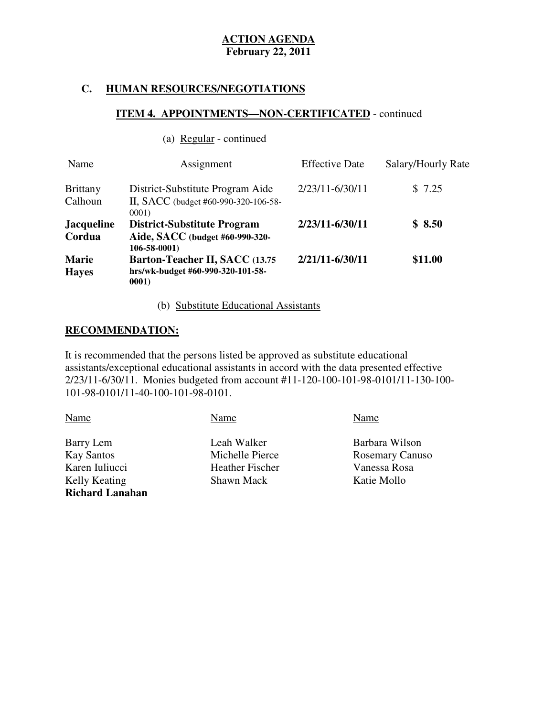## **C. HUMAN RESOURCES/NEGOTIATIONS**

(a) Regular - continued

## **ITEM 4. APPOINTMENTS—NON-CERTIFICATED** - continued

| Name                         | Assignment                                                                                 | <b>Effective Date</b> | Salary/Hourly Rate |
|------------------------------|--------------------------------------------------------------------------------------------|-----------------------|--------------------|
| <b>Brittany</b><br>Calhoun   | District-Substitute Program Aide<br>II, SACC (budget #60-990-320-106-58-<br>0001           | 2/23/11-6/30/11       | \$7.25             |
| <b>Jacqueline</b><br>Cordua  | <b>District-Substitute Program</b><br>Aide, SACC (budget #60-990-320-<br>$106 - 58 - 0001$ | 2/23/11-6/30/11       | \$8.50             |
| <b>Marie</b><br><b>Haves</b> | Barton-Teacher II, SACC (13.75<br>hrs/wk-budget #60-990-320-101-58-<br>0001                | 2/21/11-6/30/11       | \$11.00            |

(b) Substitute Educational Assistants

#### **RECOMMENDATION:**

 It is recommended that the persons listed be approved as substitute educational assistants/exceptional educational assistants in accord with the data presented effective 2/23/11-6/30/11. Monies budgeted from account #11-120-100-101-98-0101/11-130-100 101-98-0101/11-40-100-101-98-0101.

| Name                   | Name                   | Name                   |
|------------------------|------------------------|------------------------|
| Barry Lem              | Leah Walker            | Barbara Wilson         |
| <b>Kay Santos</b>      | Michelle Pierce        | <b>Rosemary Canuso</b> |
| Karen Iuliucci         | <b>Heather Fischer</b> | Vanessa Rosa           |
| Kelly Keating          | Shawn Mack             | Katie Mollo            |
| <b>Richard Lanahan</b> |                        |                        |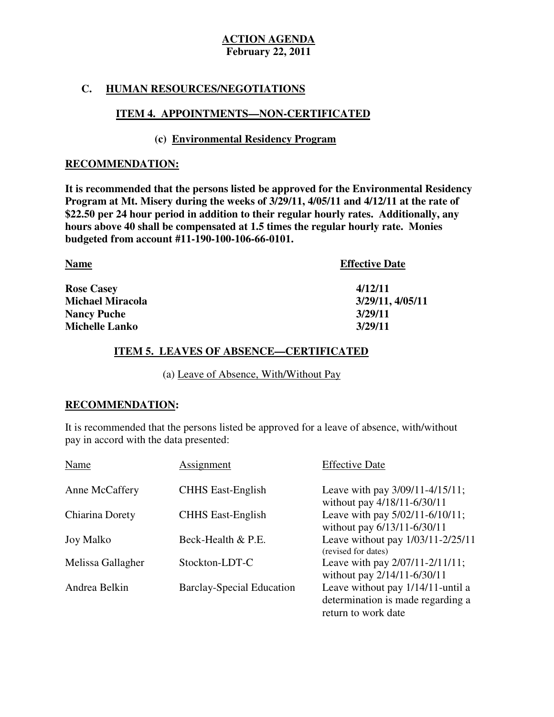## **C. HUMAN RESOURCES/NEGOTIATIONS**

## **ITEM 4. APPOINTMENTS—NON-CERTIFICATED**

## **(c) Environmental Residency Program**

#### **RECOMMENDATION:**

 **It is recommended that the persons listed be approved for the Environmental Residency Program at Mt. Misery during the weeks of 3/29/11, 4/05/11 and 4/12/11 at the rate of \$22.50 per 24 hour period in addition to their regular hourly rates. Additionally, any hours above 40 shall be compensated at 1.5 times the regular hourly rate. Monies budgeted from account #11-190-100-106-66-0101.** 

| <b>Name</b>             | <b>Effective Date</b> |
|-------------------------|-----------------------|
| <b>Rose Casey</b>       | 4/12/11               |
| <b>Michael Miracola</b> | 3/29/11, 4/05/11      |
| <b>Nancy Puche</b>      | 3/29/11               |
| <b>Michelle Lanko</b>   | 3/29/11               |

## **ITEM 5. LEAVES OF ABSENCE—CERTIFICATED**

(a) Leave of Absence, With/Without Pay

## **RECOMMENDATION:**

 It is recommended that the persons listed be approved for a leave of absence, with/without pay in accord with the data presented:

| Name              | Assignment                       | <b>Effective Date</b>                                                                         |
|-------------------|----------------------------------|-----------------------------------------------------------------------------------------------|
| Anne McCaffery    | <b>CHHS East-English</b>         | Leave with pay 3/09/11-4/15/11;<br>without pay 4/18/11-6/30/11                                |
| Chiarina Dorety   | <b>CHHS East-English</b>         | Leave with pay 5/02/11-6/10/11;<br>without pay 6/13/11-6/30/11                                |
| Joy Malko         | Beck-Health & P.E.               | Leave without pay 1/03/11-2/25/11<br>(revised for dates)                                      |
| Melissa Gallagher | Stockton-LDT-C                   | Leave with pay 2/07/11-2/11/11;<br>without pay 2/14/11-6/30/11                                |
| Andrea Belkin     | <b>Barclay-Special Education</b> | Leave without pay 1/14/11-until a<br>determination is made regarding a<br>return to work date |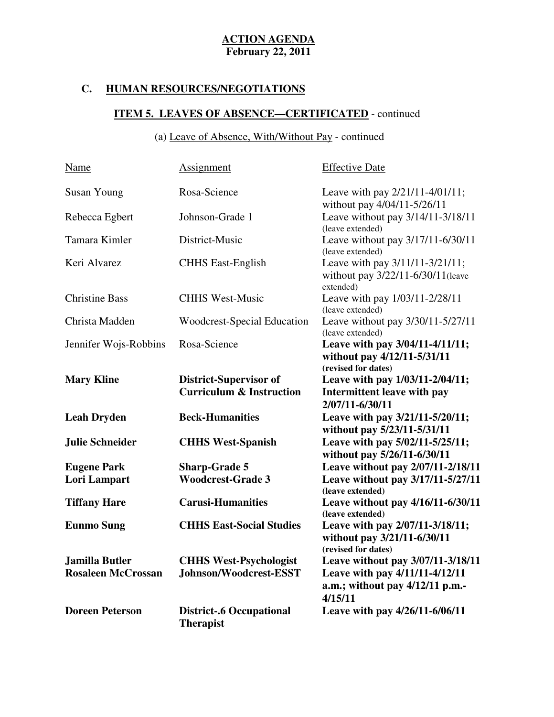# **C. HUMAN RESOURCES/NEGOTIATIONS**

# **ITEM 5. LEAVES OF ABSENCE—CERTIFICATED** - continued

## (a) Leave of Absence, With/Without Pay - continued

| Name                      | <b>Assignment</b>                                                    | <b>Effective Date</b>                                                                 |
|---------------------------|----------------------------------------------------------------------|---------------------------------------------------------------------------------------|
| <b>Susan Young</b>        | Rosa-Science                                                         | Leave with pay 2/21/11-4/01/11;<br>without pay 4/04/11-5/26/11                        |
| Rebecca Egbert            | Johnson-Grade 1                                                      | Leave without pay 3/14/11-3/18/11<br>(leave extended)                                 |
| Tamara Kimler             | District-Music                                                       | Leave without pay 3/17/11-6/30/11<br>(leave extended)                                 |
| Keri Alvarez              | <b>CHHS</b> East-English                                             | Leave with pay 3/11/11-3/21/11;<br>without pay 3/22/11-6/30/11(leave<br>extended)     |
| <b>Christine Bass</b>     | <b>CHHS West-Music</b>                                               | Leave with pay 1/03/11-2/28/11<br>(leave extended)                                    |
| Christa Madden            | <b>Woodcrest-Special Education</b>                                   | Leave without pay 3/30/11-5/27/11<br>(leave extended)                                 |
| Jennifer Wojs-Robbins     | Rosa-Science                                                         | Leave with pay 3/04/11-4/11/11;<br>without pay 4/12/11-5/31/11<br>(revised for dates) |
| <b>Mary Kline</b>         | <b>District-Supervisor of</b><br><b>Curriculum &amp; Instruction</b> | Leave with pay 1/03/11-2/04/11;<br>Intermittent leave with pay<br>2/07/11-6/30/11     |
| <b>Leah Dryden</b>        | <b>Beck-Humanities</b>                                               | Leave with pay 3/21/11-5/20/11;<br>without pay 5/23/11-5/31/11                        |
| Julie Schneider           | <b>CHHS West-Spanish</b>                                             | Leave with pay 5/02/11-5/25/11;<br>without pay 5/26/11-6/30/11                        |
| <b>Eugene Park</b>        | <b>Sharp-Grade 5</b>                                                 | Leave without pay 2/07/11-2/18/11                                                     |
| Lori Lampart              | <b>Woodcrest-Grade 3</b>                                             | Leave without pay 3/17/11-5/27/11<br>(leave extended)                                 |
| <b>Tiffany Hare</b>       | <b>Carusi-Humanities</b>                                             | Leave without pay 4/16/11-6/30/11<br>(leave extended)                                 |
| <b>Eunmo Sung</b>         | <b>CHHS East-Social Studies</b>                                      | Leave with pay 2/07/11-3/18/11;<br>without pay 3/21/11-6/30/11<br>(revised for dates) |
| Jamilla Butler            | <b>CHHS West-Psychologist</b>                                        | Leave without pay 3/07/11-3/18/11                                                     |
| <b>Rosaleen McCrossan</b> | Johnson/Woodcrest-ESST                                               | Leave with pay 4/11/11-4/12/11<br>a.m.; without pay 4/12/11 p.m.-<br>4/15/11          |
| <b>Doreen Peterson</b>    | <b>District-.6 Occupational</b><br><b>Therapist</b>                  | Leave with pay 4/26/11-6/06/11                                                        |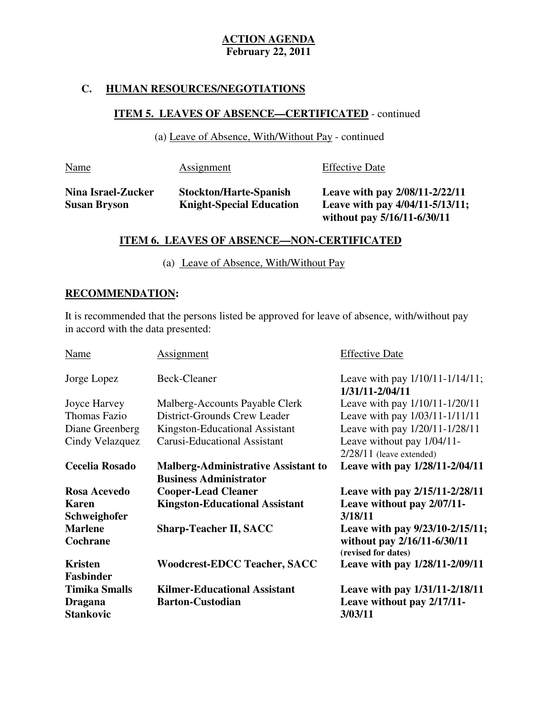## **C. HUMAN RESOURCES/NEGOTIATIONS**

# **ITEM 5. LEAVES OF ABSENCE—CERTIFICATED** - continued

(a) Leave of Absence, With/Without Pay - continued

| <b>Name</b>                               | <b>Assignment</b>                                                | <b>Effective Date</b>                                                                            |
|-------------------------------------------|------------------------------------------------------------------|--------------------------------------------------------------------------------------------------|
| Nina Israel-Zucker<br><b>Susan Bryson</b> | <b>Stockton/Harte-Spanish</b><br><b>Knight-Special Education</b> | Leave with pay 2/08/11-2/22/11<br>Leave with pay 4/04/11-5/13/11;<br>without pay 5/16/11-6/30/11 |

## **ITEM 6. LEAVES OF ABSENCE—NON-CERTIFICATED**

(a) Leave of Absence, With/Without Pay

#### ٦ **RECOMMENDATION:**

 It is recommended that the persons listed be approved for leave of absence, with/without pay in accord with the data presented:

| Name                                       | <b>Assignment</b>                                                           | <b>Effective Date</b>                                                                 |
|--------------------------------------------|-----------------------------------------------------------------------------|---------------------------------------------------------------------------------------|
| Jorge Lopez                                | <b>Beck-Cleaner</b>                                                         | Leave with pay $1/10/11 - 1/14/11$ ;<br>1/31/11-2/04/11                               |
| Joyce Harvey                               | Malberg-Accounts Payable Clerk                                              | Leave with pay $1/10/11 - 1/20/11$                                                    |
| Thomas Fazio                               | District-Grounds Crew Leader                                                | Leave with pay 1/03/11-1/11/11                                                        |
| Diane Greenberg                            | Kingston-Educational Assistant                                              | Leave with pay 1/20/11-1/28/11                                                        |
| Cindy Velazquez                            | <b>Carusi-Educational Assistant</b>                                         | Leave without pay 1/04/11-                                                            |
|                                            |                                                                             | $2/28/11$ (leave extended)                                                            |
| <b>Cecelia Rosado</b>                      | <b>Malberg-Administrative Assistant to</b><br><b>Business Administrator</b> | Leave with pay 1/28/11-2/04/11                                                        |
|                                            |                                                                             |                                                                                       |
|                                            |                                                                             |                                                                                       |
| Rosa Acevedo<br><b>Karen</b>               | <b>Cooper-Lead Cleaner</b><br><b>Kingston-Educational Assistant</b>         | Leave with pay 2/15/11-2/28/11<br>Leave without pay 2/07/11-<br>3/18/11               |
| Schweighofer<br><b>Marlene</b><br>Cochrane | <b>Sharp-Teacher II, SACC</b>                                               | Leave with pay 9/23/10-2/15/11;<br>without pay 2/16/11-6/30/11<br>(revised for dates) |
| <b>Kristen</b><br><b>Fasbinder</b>         | <b>Woodcrest-EDCC Teacher, SACC</b>                                         | Leave with pay $1/28/11 - 2/09/11$                                                    |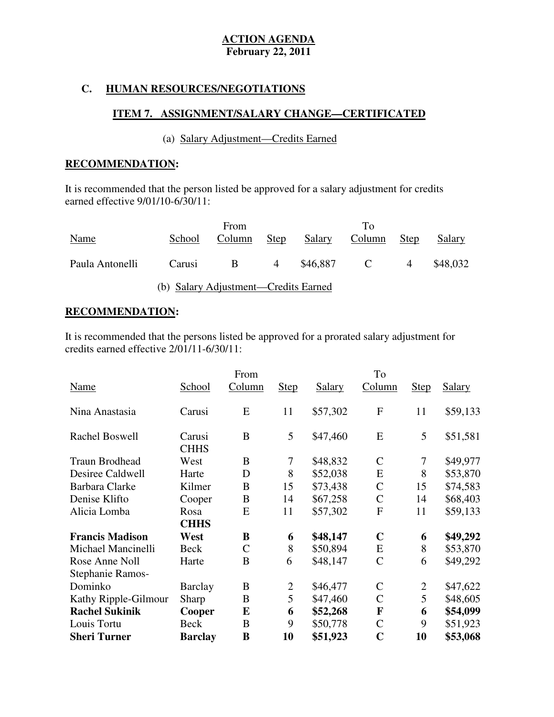## **C. HUMAN RESOURCES/NEGOTIATIONS**

## **ITEM 7. ASSIGNMENT/SALARY CHANGE—CERTIFICATED**

## (a) Salary Adjustment—Credits Earned

#### **RECOMMENDATION:**

 It is recommended that the person listed be approved for a salary adjustment for credits earned effective 9/01/10-6/30/11:

|                 |                                      | From   |                |          | To     |                |          |
|-----------------|--------------------------------------|--------|----------------|----------|--------|----------------|----------|
| Name            | School                               | Column | <b>Step</b>    | Salary   | Column | <b>Step</b>    | Salary   |
|                 |                                      |        |                |          |        |                |          |
| Paula Antonelli | Carusi                               | B.     | $\overline{4}$ | \$46.887 | C      | $\overline{4}$ | \$48,032 |
|                 |                                      |        |                |          |        |                |          |
|                 | (b) Salary Adjustment—Credits Earned |        |                |          |        |                |          |

#### **RECOMMENDATION:**

 It is recommended that the persons listed be approved for a prorated salary adjustment for credits earned effective  $2/01/11-6/30/11$ :

|                        |                       | From          |              |               | To               |              |               |
|------------------------|-----------------------|---------------|--------------|---------------|------------------|--------------|---------------|
| Name                   | School                | Column        | <b>Step</b>  | <b>Salary</b> | Column           | <b>Step</b>  | <b>Salary</b> |
| Nina Anastasia         | Carusi                | E             | 11           | \$57,302      | $\mathbf{F}$     | 11           | \$59,133      |
| Rachel Boswell         | Carusi<br><b>CHHS</b> | B             | 5            | \$47,460      | E                | 5            | \$51,581      |
| Traun Brodhead         | West                  | B             | 7            | \$48,832      | $\mathsf{C}$     | 7            | \$49,977      |
| Desiree Caldwell       | Harte                 | D             | 8            | \$52,038      | E                | 8            | \$53,870      |
| <b>Barbara Clarke</b>  | Kilmer                | B             | 15           | \$73,438      | $\mathbf C$      | 15           | \$74,583      |
| Denise Klifto          | Cooper                | B             | 14           | \$67,258      | $\mathbf C$      | 14           | \$68,403      |
| Alicia Lomba           | Rosa                  | E             | 11           | \$57,302      | $\boldsymbol{F}$ | 11           | \$59,133      |
|                        | <b>CHHS</b>           |               |              |               |                  |              |               |
| <b>Francis Madison</b> | West                  | B             | 6            | \$48,147      | $\mathbf C$      | 6            | \$49,292      |
| Michael Mancinelli     | <b>Beck</b>           | $\mathcal{C}$ | 8            | \$50,894      | E                | 8            | \$53,870      |
| Rose Anne Noll         | Harte                 | B             | 6            | \$48,147      | $\mathcal{C}$    | 6            | \$49,292      |
| Stephanie Ramos-       |                       |               |              |               |                  |              |               |
| Dominko                | <b>Barclay</b>        | B             | $\mathbf{2}$ | \$46,477      | $\mathcal{C}$    | $\mathbf{2}$ | \$47,622      |
| Kathy Ripple-Gilmour   | Sharp                 | B             | 5            | \$47,460      | $\mathcal{C}$    | 5            | \$48,605      |
| <b>Rachel Sukinik</b>  | Cooper                | E             | 6            | \$52,268      | F                | 6            | \$54,099      |
| Louis Tortu            | <b>Beck</b>           | B             | 9            | \$50,778      | $\mathsf{C}$     | 9            | \$51,923      |
| <b>Sheri Turner</b>    | <b>Barclay</b>        | B             | 10           | \$51,923      | $\mathbf C$      | 10           | \$53,068      |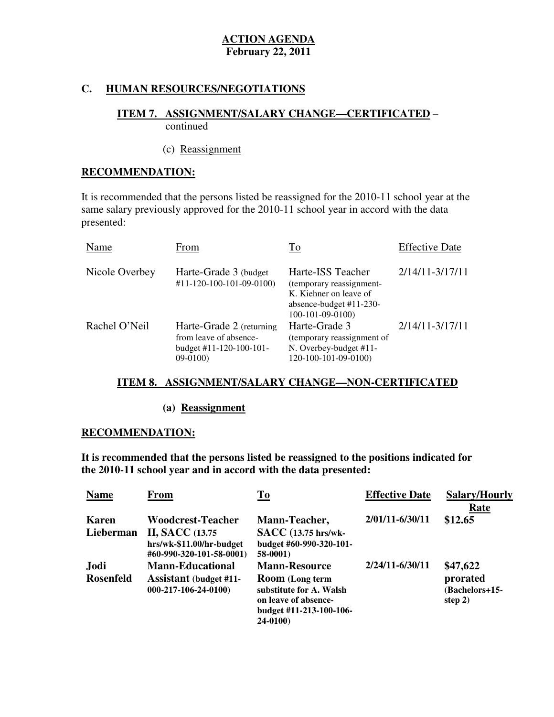## **C. HUMAN RESOURCES/NEGOTIATIONS**

### **ITEM 7. ASSIGNMENT/SALARY CHANGE—CERTIFICATED** – continued

# (c) Reassignment

## **RECOMMENDATION:**

 It is recommended that the persons listed be reassigned for the 2010-11 school year at the same salary previously approved for the 2010-11 school year in accord with the data presented:

| Name           | From                                                                                                 | To                                                                                                                        | <b>Effective Date</b> |
|----------------|------------------------------------------------------------------------------------------------------|---------------------------------------------------------------------------------------------------------------------------|-----------------------|
| Nicole Overbey | Harte-Grade 3 (budget)<br>#11-120-100-101-09-0100)                                                   | Harte-ISS Teacher<br>(temporary reassignment-<br>K. Kiehner on leave of<br>absence-budget $#11-230-$<br>$100-101-09-0100$ | $2/14/11 - 3/17/11$   |
| Rachel O'Neil  | Harte-Grade 2 (returning<br>from leave of absence-<br>budget $\#11 - 120 - 100 - 101 -$<br>$09-0100$ | Harte-Grade 3<br>(temporary reassignment of<br>N. Overbey-budget #11-<br>120-100-101-09-0100)                             | $2/14/11 - 3/17/11$   |

## **ITEM 8. ASSIGNMENT/SALARY CHANGE—NON-CERTIFICATED**

## **(a) Reassignment**

## **RECOMMENDATION:**

 **It is recommended that the persons listed be reassigned to the positions indicated for the 2010-11 school year and in accord with the data presented:** 

| <b>Name</b>      | From                                                                            | To                                                                                                               | <b>Effective Date</b> | <b>Salary/Hourly</b>                    |
|------------------|---------------------------------------------------------------------------------|------------------------------------------------------------------------------------------------------------------|-----------------------|-----------------------------------------|
| <b>Karen</b>     | <b>Woodcrest-Teacher</b>                                                        | Mann-Teacher,                                                                                                    | 2/01/11-6/30/11       | Rate<br>\$12.65                         |
| Lieberman        | <b>II, SACC</b> (13.75)<br>hrs/wk-\$11.00/hr-budget<br>#60-990-320-101-58-0001) | <b>SACC</b> (13.75 hrs/wk-<br>budget #60-990-320-101-<br><b>58-0001)</b>                                         |                       |                                         |
| Jodi             | <b>Mann-Educational</b>                                                         | <b>Mann-Resource</b>                                                                                             | 2/24/11-6/30/11       | \$47,622                                |
| <b>Rosenfeld</b> | <b>Assistant</b> (budget #11-<br>$000-217-106-24-0100$                          | <b>Room</b> (Long term<br>substitute for A. Walsh<br>on leave of absence-<br>budget #11-213-100-106-<br>24-0100) |                       | prorated<br>(Bachelors+15-<br>step $2)$ |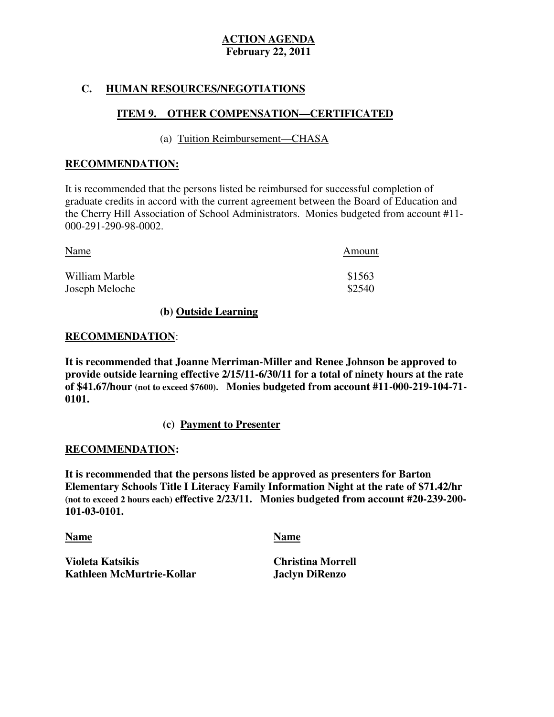## **C. HUMAN RESOURCES/NEGOTIATIONS**

## **ITEM 9. OTHER COMPENSATION—CERTIFICATED**

## (a) Tuition Reimbursement—CHASA

## **RECOMMENDATION:**

 It is recommended that the persons listed be reimbursed for successful completion of graduate credits in accord with the current agreement between the Board of Education and the Cherry Hill Association of School Administrators. Monies budgeted from account #11 000-291-290-98-0002.

| <b>Name</b>    | Amount |
|----------------|--------|
| William Marble | \$1563 |
| Joseph Meloche | \$2540 |

## **(b) Outside Learning**

# **RECOMMENDATION**:

 **It is recommended that Joanne Merriman-Miller and Renee Johnson be approved to provide outside learning effective 2/15/11-6/30/11 for a total of ninety hours at the rate of \$41.67/hour (not to exceed \$7600). Monies budgeted from account #11-000-219-104-71 0101.** 

## **(c) Payment to Presenter**

#### **RECOMMENDATION:**

 **It is recommended that the persons listed be approved as presenters for Barton Elementary Schools Title I Literacy Family Information Night at the rate of \$71.42/hr (not to exceed 2 hours each) effective 2/23/11. Monies budgeted from account #20-239-200 101-03-0101.** 

#### **Name Name**

**Violeta Katsikis Kathleen McMurtrie-Kollar**  **Jaclyn DiRenzo Christina Morrell**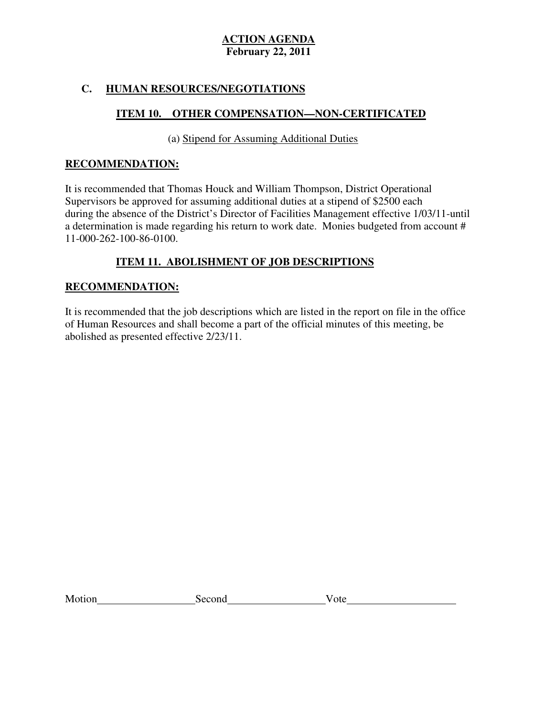## **C. HUMAN RESOURCES/NEGOTIATIONS**

## **ITEM 10. OTHER COMPENSATION—NON-CERTIFICATED**

(a) Stipend for Assuming Additional Duties

## **RECOMMENDATION:**

 It is recommended that Thomas Houck and William Thompson, District Operational Supervisors be approved for assuming additional duties at a stipend of \$2500 each during the absence of the District's Director of Facilities Management effective 1/03/11-until a determination is made regarding his return to work date. Monies budgeted from account # 11-000-262-100-86-0100.

## **ITEM 11. ABOLISHMENT OF JOB DESCRIPTIONS**

## **RECOMMENDATION:**

 It is recommended that the job descriptions which are listed in the report on file in the office of Human Resources and shall become a part of the official minutes of this meeting, be abolished as presented effective 2/23/11.

Motion Second Vote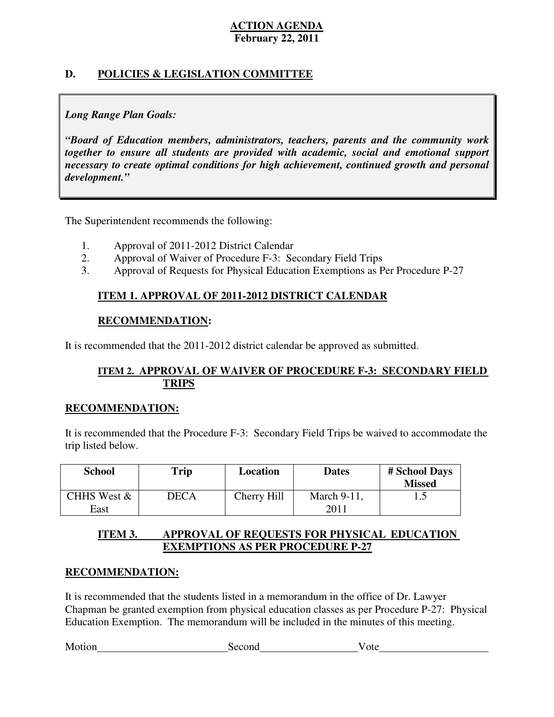## **D. POLICIES & LEGISLATION COMMITTEE**

## *Long Range Plan Goals:*

 *"Board of Education members, administrators, teachers, parents and the community work together to ensure all students are provided with academic, social and emotional support necessary to create optimal conditions for high achievement, continued growth and personal development."* 

The Superintendent recommends the following:

- 1. Approval of 2011-2012 District Calendar
- 2. Approval of Waiver of Procedure F-3: Secondary Field Trips
- 3. Approval of Requests for Physical Education Exemptions as Per Procedure P-27

## **ITEM 1. APPROVAL OF 2011-2012 DISTRICT CALENDAR**

## **RECOMMENDATION:**

It is recommended that the 2011-2012 district calendar be approved as submitted.

## **ITEM 2. APPROVAL OF WAIVER OF PROCEDURE F-3: SECONDARY FIELD TRIPS**

## **RECOMMENDATION:**

 It is recommended that the Procedure F-3: Secondary Field Trips be waived to accommodate the trip listed below.

| <b>School</b>       | <b>Trip</b> | Location    | <b>Dates</b>        | # School Days<br><b>Missed</b> |
|---------------------|-------------|-------------|---------------------|--------------------------------|
| CHHS West &<br>East | <b>DECA</b> | Cherry Hill | March 9-11,<br>2011 | ⊥ ∙∙                           |

#### **ITEM 3. APPROVAL OF REQUESTS FOR PHYSICAL EDUCATION EXEMPTIONS AS PER PROCEDURE P-27**

## **RECOMMENDATION:**

 It is recommended that the students listed in a memorandum in the office of Dr. Lawyer Chapman be granted exemption from physical education classes as per Procedure P-27: Physical Education Exemption. The memorandum will be included in the minutes of this meeting.

Motion Second Vote